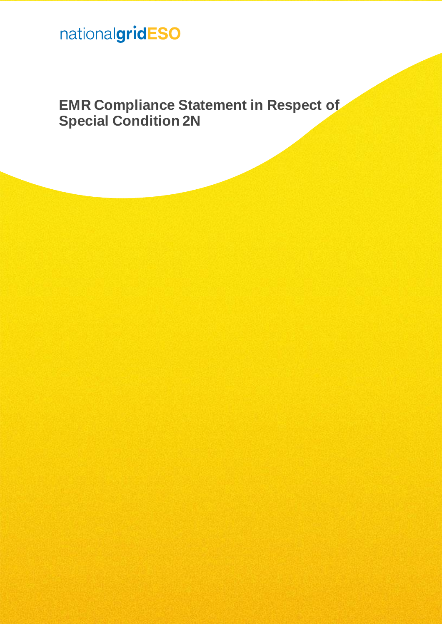# nationalgridESO

**EMR Compliance Statement in Respect of Special Condition 2N**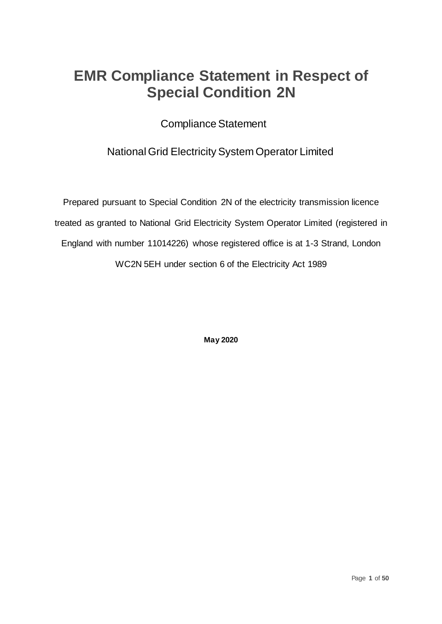## **EMR Compliance Statement in Respect of Special Condition 2N**

Compliance Statement

## National Grid Electricity System Operator Limited

Prepared pursuant to Special Condition 2N of the electricity transmission licence treated as granted to National Grid Electricity System Operator Limited (registered in England with number 11014226) whose registered office is at 1-3 Strand, London WC2N 5EH under section 6 of the Electricity Act 1989

**May 2020**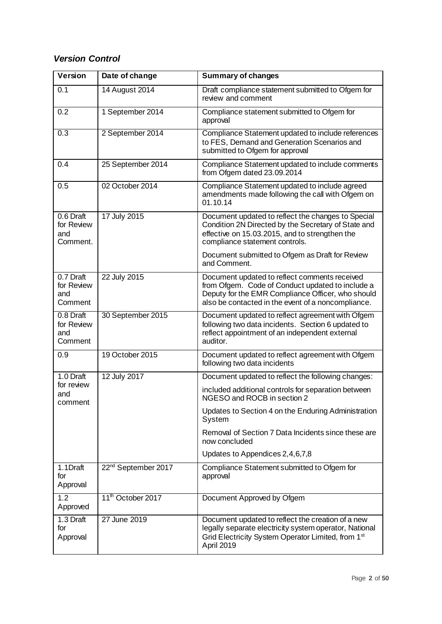## *Version Control*

| <b>Version</b>                             | Date of change                  | <b>Summary of changes</b>                                                                                                                                                                                    |  |
|--------------------------------------------|---------------------------------|--------------------------------------------------------------------------------------------------------------------------------------------------------------------------------------------------------------|--|
| 0.1                                        | 14 August 2014                  | Draft compliance statement submitted to Ofgem for<br>review and comment                                                                                                                                      |  |
| 0.2                                        | 1 September 2014                | Compliance statement submitted to Ofgem for<br>approval                                                                                                                                                      |  |
| 0.3                                        | 2 September 2014                | Compliance Statement updated to include references<br>to FES, Demand and Generation Scenarios and<br>submitted to Ofgem for approval                                                                         |  |
| 0.4                                        | 25 September 2014               | Compliance Statement updated to include comments<br>from Ofgem dated 23.09.2014                                                                                                                              |  |
| 0.5                                        | 02 October 2014                 | Compliance Statement updated to include agreed<br>amendments made following the call with Ofgem on<br>01.10.14                                                                                               |  |
| 0.6 Draft<br>for Review<br>and<br>Comment. | 17 July 2015                    | Document updated to reflect the changes to Special<br>Condition 2N Directed by the Secretary of State and<br>effective on 15.03.2015, and to strengthen the<br>compliance statement controls.                |  |
|                                            |                                 | Document submitted to Ofgem as Draft for Review<br>and Comment.                                                                                                                                              |  |
| 0.7 Draft<br>for Review<br>and<br>Comment  | 22 July 2015                    | Document updated to reflect comments received<br>from Ofgem. Code of Conduct updated to include a<br>Deputy for the EMR Compliance Officer, who should<br>also be contacted in the event of a noncompliance. |  |
| 0.8 Draft<br>for Review<br>and<br>Comment  | 30 September 2015               | Document updated to reflect agreement with Ofgem<br>following two data incidents. Section 6 updated to<br>reflect appointment of an independent external<br>auditor.                                         |  |
| 0.9                                        | 19 October 2015                 | Document updated to reflect agreement with Ofgem<br>following two data incidents                                                                                                                             |  |
| 1.0 Draft                                  | 12 July 2017                    | Document updated to reflect the following changes:                                                                                                                                                           |  |
| for review<br>and<br>comment               |                                 | included additional controls for separation between<br>NGESO and ROCB in section 2                                                                                                                           |  |
|                                            |                                 | Updates to Section 4 on the Enduring Administration<br>System                                                                                                                                                |  |
|                                            |                                 | Removal of Section 7 Data Incidents since these are<br>now concluded                                                                                                                                         |  |
|                                            |                                 | Updates to Appendices 2,4,6,7,8                                                                                                                                                                              |  |
| 1.1Draft<br>for<br>Approval                | 22 <sup>nd</sup> September 2017 | Compliance Statement submitted to Ofgem for<br>approval                                                                                                                                                      |  |
| $\overline{1.2}$<br>Approved               | 11 <sup>th</sup> October 2017   | Document Approved by Ofgem                                                                                                                                                                                   |  |
| 1.3 Draft<br>for<br>Approval               | 27 June 2019                    | Document updated to reflect the creation of a new<br>legally separate electricity system operator, National<br>Grid Electricity System Operator Limited, from 1 <sup>st</sup><br>April 2019                  |  |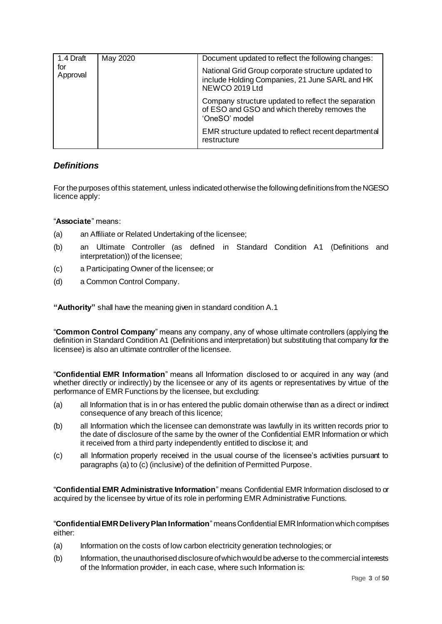| 1.4 Draft<br>for<br>Approval | May 2020 | Document updated to reflect the following changes:                                                                     |  |  |
|------------------------------|----------|------------------------------------------------------------------------------------------------------------------------|--|--|
|                              |          | National Grid Group corporate structure updated to<br>include Holding Companies, 21 June SARL and HK<br>NEWCO 2019 Ltd |  |  |
|                              |          | Company structure updated to reflect the separation<br>of ESO and GSO and which thereby removes the<br>'OneSO' model   |  |  |
|                              |          | EMR structure updated to reflect recent departmental<br>restructure                                                    |  |  |

## *Definitions*

For the purposes of this statement, unless indicated otherwise the following definitions from the NGESO licence apply:

"**Associate**" means:

- (a) an Affiliate or Related Undertaking of the licensee;
- (b) an Ultimate Controller (as defined in Standard Condition A1 (Definitions and interpretation)) of the licensee;
- (c) a Participating Owner of the licensee; or
- (d) a Common Control Company.

**"Authority"** shall have the meaning given in standard condition A.1

"**Common Control Company**" means any company, any of whose ultimate controllers (applying the definition in Standard Condition A1 (Definitions and interpretation) but substituting that company for the licensee) is also an ultimate controller of the licensee.

"**Confidential EMR Information**" means all Information disclosed to or acquired in any way (and whether directly or indirectly) by the licensee or any of its agents or representatives by virtue of the performance of EMR Functions by the licensee, but excluding:

- (a) all Information that is in or has entered the public domain otherwise than as a direct or indirect consequence of any breach of this licence;
- (b) all Information which the licensee can demonstrate was lawfully in its written records prior to the date of disclosure of the same by the owner of the Confidential EMR Information or which it received from a third party independently entitled to disclose it; and
- (c) all Information properly received in the usual course of the licensee's activities pursuant to paragraphs (a) to (c) (inclusive) of the definition of Permitted Purpose.

"**Confidential EMR Administrative Information**" means Confidential EMR Information disclosed to or acquired by the licensee by virtue of its role in performing EMR Administrative Functions.

"**Confidential EMR Delivery Plan Information**" means Confidential EMR Information which comprises either:

- (a) Information on the costs of low carbon electricity generation technologies; or
- (b) Information, the unauthorised disclosure of which would be adverse to the commercial interests of the Information provider, in each case, where such Information is: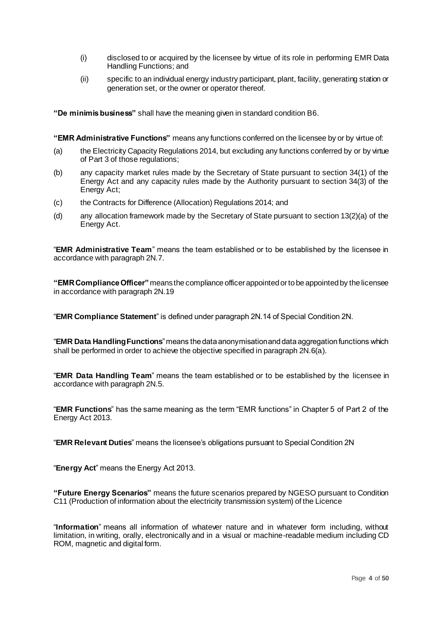- (i) disclosed to or acquired by the licensee by virtue of its role in performing EMR Data Handling Functions; and
- (ii) specific to an individual energy industry participant, plant, facility, generating station or generation set, or the owner or operator thereof.

**"De minimisbusiness"** shall have the meaning given in standard condition B6.

**"EMR Administrative Functions"** means any functions conferred on the licensee by or by virtue of:

- (a) the Electricity Capacity Regulations 2014, but excluding any functions conferred by or by virtue of Part 3 of those regulations;
- (b) any capacity market rules made by the Secretary of State pursuant to section 34(1) of the Energy Act and any capacity rules made by the Authority pursuant to section 34(3) of the Energy Act;
- (c) the Contracts for Difference (Allocation) Regulations 2014; and
- (d) any allocation framework made by the Secretary of State pursuant to section 13(2)(a) of the Energy Act.

"**EMR Administrative Team**" means the team established or to be established by the licensee in accordance with paragraph 2N.7.

**"EMR Compliance Officer"** means the compliance officer appointed or to be appointed by the licensee in accordance with paragraph 2N.19

"**EMR Compliance Statement**" is defined under paragraph 2N.14 of Special Condition 2N.

"**EMR Data Handling Functions**" means the data anonymisation and data aggregation functions which shall be performed in order to achieve the objective specified in paragraph 2N.6(a).

"**EMR Data Handling Team**" means the team established or to be established by the licensee in accordance with paragraph 2N.5.

"**EMR Functions**" has the same meaning as the term "EMR functions" in Chapter 5 of Part 2 of the Energy Act 2013.

"**EMR Relevant Duties**" means the licensee's obligations pursuant to Special Condition 2N

"**Energy Act**" means the Energy Act 2013.

**"Future Energy Scenarios"** means the future scenarios prepared by NGESO pursuant to Condition C11 (Production of information about the electricity transmission system) of the Licence

"**Information**" means all information of whatever nature and in whatever form including, without limitation, in writing, orally, electronically and in a visual or machine-readable medium including CD ROM, magnetic and digital form.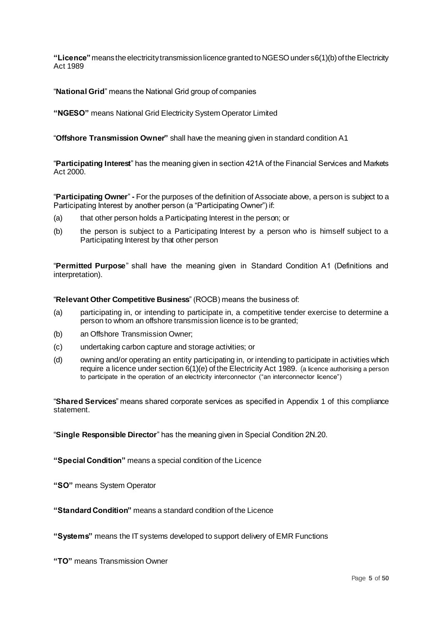**"Licence"**means the electricity transmission licence granted to NGESO under s6(1)(b) of the Electricity Act 1989

"**National Grid**" means the National Grid group of companies

**"NGESO"** means National Grid Electricity System Operator Limited

"**Offshore Transmission Owner"** shall have the meaning given in standard condition A1

"**Participating Interest**" has the meaning given in section 421A of the Financial Services and Markets Act 2000.

"**Participating Owner**" **-** For the purposes of the definition of Associate above, a person is subject to a Participating Interest by another person (a "Participating Owner") if:

- (a) that other person holds a Participating Interest in the person; or
- (b) the person is subject to a Participating Interest by a person who is himself subject to a Participating Interest by that other person

"**Permitted Purpose**" shall have the meaning given in Standard Condition A1 (Definitions and interpretation).

"**Relevant Other Competitive Business**" (ROCB) means the business of:

- (a) participating in, or intending to participate in, a competitive tender exercise to determine a person to whom an offshore transmission licence is to be granted;
- (b) an Offshore Transmission Owner;
- (c) undertaking carbon capture and storage activities; or
- (d) owning and/or operating an entity participating in, or intending to participate in activities which require a licence under section 6(1)(e) of the Electricity Act 1989. (a licence authorising a person to participate in the operation of an electricity interconnector ("an interconnector licence")

"**Shared Services**" means shared corporate services as specified in Appendix 1 of this compliance statement.

"**Single Responsible Director**" has the meaning given in Special Condition 2N.20.

**"Special Condition"** means a special condition of the Licence

**"SO"** means System Operator

**"Standard Condition"** means a standard condition of the Licence

**"Systems"** means the IT systems developed to support delivery of EMR Functions

**"TO"** means Transmission Owner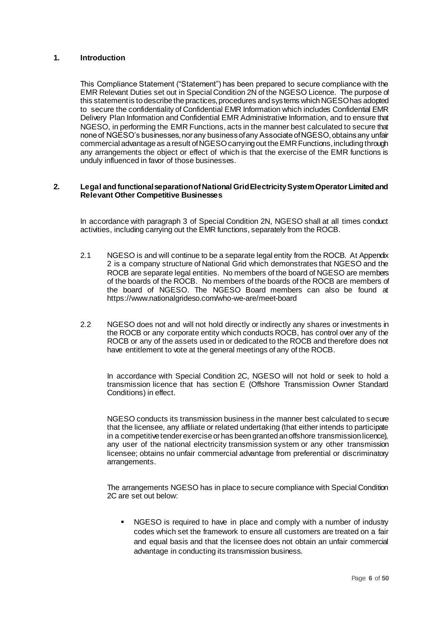#### **1. Introduction**

This Compliance Statement ("Statement") has been prepared to secure compliance with the EMR Relevant Duties set out in Special Condition 2N of the NGESO Licence. The purpose of this statement is to describe the practices, procedures and systems which NGESO has adopted to secure the confidentiality of Confidential EMR Information which includes Confidential EMR Delivery Plan Information and Confidential EMR Administrative Information, and to ensure that NGESO, in performing the EMR Functions, acts in the manner best calculated to secure that none of NGESO's businesses, nor any business of any Associate of NGESO, obtains any unfair commercial advantage as a result of NGESO carrying out the EMR Functions, including through any arrangements the object or effect of which is that the exercise of the EMR functions is unduly influenced in favor of those businesses.

#### **2. Legal and functional separation of National Grid Electricity System Operator Limited and Relevant Other Competitive Businesses**

In accordance with paragraph 3 of Special Condition 2N, NGESO shall at all times conduct activities, including carrying out the EMR functions, separately from the ROCB.

- 2.1 NGESO is and will continue to be a separate legal entity from the ROCB. At Appendix 2 is a company structure of National Grid which demonstrates that NGESO and the ROCB are separate legal entities. No members of the board of NGESO are members of the boards of the ROCB. No members of the boards of the ROCB are members of the board of NGESO. The NGESO Board members can also be found at https://www.nationalgrideso.com/who-we-are/meet-board
- 2.2 NGESO does not and will not hold directly or indirectly any shares or investments in the ROCB or any corporate entity which conducts ROCB, has control over any of the ROCB or any of the assets used in or dedicated to the ROCB and therefore does not have entitlement to vote at the general meetings of any of the ROCB.

In accordance with Special Condition 2C, NGESO will not hold or seek to hold a transmission licence that has section E (Offshore Transmission Owner Standard Conditions) in effect.

NGESO conducts its transmission business in the manner best calculated to secure that the licensee, any affiliate or related undertaking (that either intends to participate in a competitive tender exercise or has been granted an offshore transmission licence), any user of the national electricity transmission system or any other transmission licensee; obtains no unfair commercial advantage from preferential or discriminatory arrangements.

The arrangements NGESO has in place to secure compliance with Special Condition 2C are set out below:

NGESO is required to have in place and comply with a number of industry codes which set the framework to ensure all customers are treated on a fair and equal basis and that the licensee does not obtain an unfair commercial advantage in conducting its transmission business.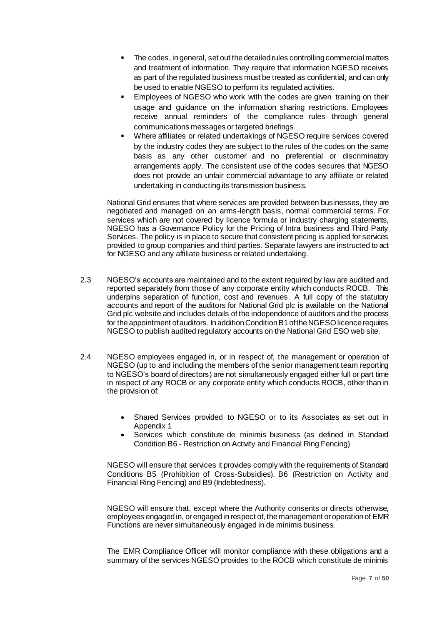- The codes, in general, set out the detailed rules controlling commercial matters and treatment of information. They require that information NGESO receives as part of the regulated business must be treated as confidential, and can only be used to enable NGESO to perform its regulated activities.
- Employees of NGESO who work with the codes are given training on their usage and guidance on the information sharing restrictions. Employees receive annual reminders of the compliance rules through general communications messages or targeted briefings.
- Where affiliates or related undertakings of NGESO require services covered by the industry codes they are subject to the rules of the codes on the same basis as any other customer and no preferential or discriminatory arrangements apply. The consistent use of the codes secures that NGESO does not provide an unfair commercial advantage to any affiliate or related undertaking in conducting its transmission business.

National Grid ensures that where services are provided between businesses, they are negotiated and managed on an arms-length basis, normal commercial terms. For services which are not covered by licence formula or industry charging statements, NGESO has a Governance Policy for the Pricing of Intra business and Third Party Services. The policy is in place to secure that consistent pricing is applied for services provided to group companies and third parties. Separate lawyers are instructed to act for NGESO and any affiliate business or related undertaking.

- 2.3 NGESO's accounts are maintained and to the extent required by law are audited and reported separately from those of any corporate entity which conducts ROCB. This underpins separation of function, cost and revenues. A full copy of the statutory accounts and report of the auditors for National Grid plc is available on the National Grid plc website and includes details of the independence of auditors and the process for the appointment of auditors. In addition Condition B1 of the NGESO licence requires NGESO to publish audited regulatory accounts on the National Grid ESO web site.
- 2.4 NGESO employees engaged in, or in respect of, the management or operation of NGESO (up to and including the members of the senior management team reporting to NGESO's board of directors) are not simultaneously engaged either full or part time in respect of any ROCB or any corporate entity which conducts ROCB, other than in the provision of:
	- Shared Services provided to NGESO or to its Associates as set out in Appendix 1
	- Services which constitute de minimis business (as defined in Standard Condition B6 - Restriction on Activity and Financial Ring Fencing)

NGESO will ensure that services it provides comply with the requirements of Standard Conditions B5 (Prohibition of Cross-Subsidies), B6 (Restriction on Activity and Financial Ring Fencing) and B9 (Indebtedness).

NGESO will ensure that, except where the Authority consents or directs otherwise, employees engaged in, or engaged in respect of, the management or operation of EMR Functions are never simultaneously engaged in de minimis business.

The EMR Compliance Officer will monitor compliance with these obligations and a summary of the services NGESO provides to the ROCB which constitute de minimis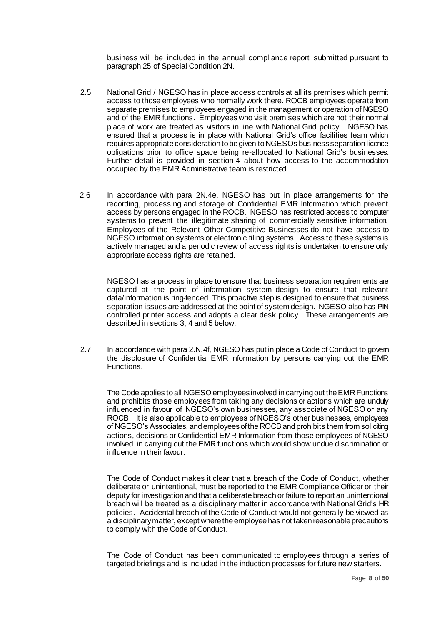business will be included in the annual compliance report submitted pursuant to paragraph 25 of Special Condition 2N.

- 2.5 National Grid / NGESO has in place access controls at all its premises which permit access to those employees who normally work there. ROCB employees operate from separate premises to employees engaged in the management or operation of NGESO and of the EMR functions. Employees who visit premises which are not their normal place of work are treated as visitors in line with National Grid policy. NGESO has ensured that a process is in place with National Grid's office facilities team which requires appropriate consideration to be given to NGESOs business separation licence obligations prior to office space being re-allocated to National Grid's businesses. Further detail is provided in section 4 about how access to the accommodation occupied by the EMR Administrative team is restricted.
- 2.6 In accordance with para 2N.4e, NGESO has put in place arrangements for the recording, processing and storage of Confidential EMR Information which prevent access by persons engaged in the ROCB. NGESO has restricted access to computer systems to prevent the illegitimate sharing of commercially sensitive information. Employees of the Relevant Other Competitive Businesses do not have access to NGESO information systems or electronic filing systems. Access to these systems is actively managed and a periodic review of access rights is undertaken to ensure only appropriate access rights are retained.

NGESO has a process in place to ensure that business separation requirements are captured at the point of information system design to ensure that relevant data/information is ring-fenced. This proactive step is designed to ensure that business separation issues are addressed at the point of system design. NGESO also has PIN controlled printer access and adopts a clear desk policy. These arrangements are described in sections 3, 4 and 5 below.

2.7 In accordance with para 2.N.4f, NGESO has put in place a Code of Conduct to govern the disclosure of Confidential EMR Information by persons carrying out the EMR Functions.

The Code applies to all NGESO employees involved in carrying out the EMR Functions and prohibits those employees from taking any decisions or actions which are unduly influenced in favour of NGESO's own businesses, any associate of NGESO or any ROCB. It is also applicable to employees of NGESO's other businesses, employees of NGESO's Associates, and employees of the ROCB and prohibits them from soliciting actions, decisions or Confidential EMR Information from those employees of NGESO involved in carrying out the EMR functions which would show undue discrimination or influence in their favour.

The Code of Conduct makes it clear that a breach of the Code of Conduct, whether deliberate or unintentional, must be reported to the EMR Compliance Officer or their deputy for investigation and that a deliberate breach or failure to report an unintentional breach will be treated as a disciplinary matter in accordance with National Grid's HR policies. Accidental breach of the Code of Conduct would not generally be viewed as a disciplinary matter, except where the employee has not taken reasonable precautions to comply with the Code of Conduct.

The Code of Conduct has been communicated to employees through a series of targeted briefings and is included in the induction processes for future new starters.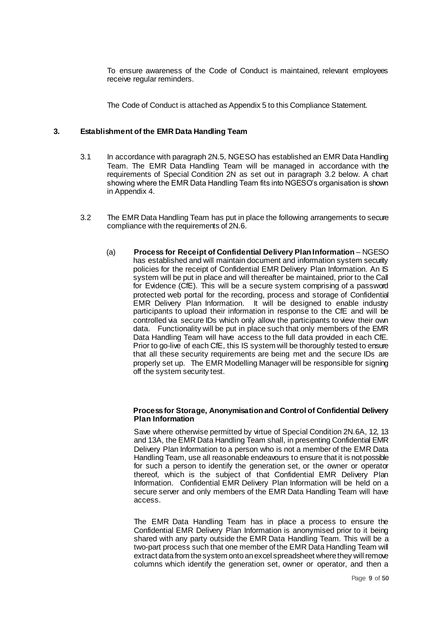To ensure awareness of the Code of Conduct is maintained, relevant employees receive regular reminders.

The Code of Conduct is attached as Appendix 5 to this Compliance Statement.

#### **3. Establishment of the EMR Data Handling Team**

- 3.1 In accordance with paragraph 2N.5, NGESO has established an EMR Data Handling Team. The EMR Data Handling Team will be managed in accordance with the requirements of Special Condition 2N as set out in paragraph 3.2 below. A chart showing where the EMR Data Handling Team fits into NGESO's organisation is shown in Appendix 4.
- 3.2 The EMR Data Handling Team has put in place the following arrangements to secure compliance with the requirements of 2N.6.
	- (a) **Process for Receipt of Confidential Delivery Plan Information** NGESO has established and will maintain document and information system security policies for the receipt of Confidential EMR Delivery Plan Information. An IS system will be put in place and will thereafter be maintained, prior to the Call for Evidence (CfE). This will be a secure system comprising of a password protected web portal for the recording, process and storage of Confidential EMR Delivery Plan Information. It will be designed to enable industry participants to upload their information in response to the CfE and will be controlled via secure IDs which only allow the participants to view their own data. Functionality will be put in place such that only members of the EMR Data Handling Team will have access to the full data provided in each CfE. Prior to go-live of each CfE, this IS system will be thoroughly tested to ensure that all these security requirements are being met and the secure IDs are properly set up. The EMR Modelling Manager will be responsible for signing off the system security test.

#### **Process for Storage, Anonymisation and Control of Confidential Delivery Plan Information**

Save where otherwise permitted by virtue of Special Condition 2N.6A, 12, 13 and 13A, the EMR Data Handling Team shall, in presenting Confidential EMR Delivery Plan Information to a person who is not a member of the EMR Data Handling Team, use all reasonable endeavours to ensure that it is not possible for such a person to identify the generation set, or the owner or operator thereof, which is the subject of that Confidential EMR Delivery Plan Information. Confidential EMR Delivery Plan Information will be held on a secure server and only members of the EMR Data Handling Team will have access.

The EMR Data Handling Team has in place a process to ensure the Confidential EMR Delivery Plan Information is anonymised prior to it being shared with any party outside the EMR Data Handling Team. This will be a two-part process such that one member of the EMR Data Handling Team will extract data from the system onto an excel spreadsheet where they will remove columns which identify the generation set, owner or operator, and then a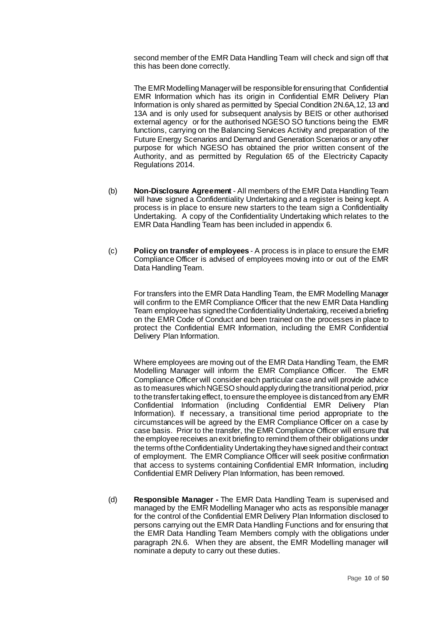second member of the EMR Data Handling Team will check and sign off that this has been done correctly.

The EMR Modelling Manager will be responsible for ensuring that Confidential EMR Information which has its origin in Confidential EMR Delivery Plan Information is only shared as permitted by Special Condition 2N.6A,12, 13 and 13A and is only used for subsequent analysis by BEIS or other authorised external agency or for the authorised NGESO SO functions being the EMR functions, carrying on the Balancing Services Activity and preparation of the Future Energy Scenarios and Demand and Generation Scenarios or any other purpose for which NGESO has obtained the prior written consent of the Authority, and as permitted by Regulation 65 of the Electricity Capacity Regulations 2014.

- (b) **Non-Disclosure Agreement** All members of the EMR Data Handling Team will have signed a Confidentiality Undertaking and a register is being kept. A process is in place to ensure new starters to the team sign a Confidentiality Undertaking. A copy of the Confidentiality Undertaking which relates to the EMR Data Handling Team has been included in appendix 6.
- (c) **Policy on transfer of employees** A process is in place to ensure the EMR Compliance Officer is advised of employees moving into or out of the EMR Data Handling Team.

For transfers into the EMR Data Handling Team, the EMR Modelling Manager will confirm to the EMR Compliance Officer that the new EMR Data Handling Team employee has signed the Confidentiality Undertaking, received a briefing on the EMR Code of Conduct and been trained on the processes in place to protect the Confidential EMR Information, including the EMR Confidential Delivery Plan Information.

Where employees are moving out of the EMR Data Handling Team, the EMR Modelling Manager will inform the EMR Compliance Officer. The EMR Compliance Officer will consider each particular case and will provide advice as to measures which NGESO should apply during the transitional period, prior to the transfer taking effect, to ensure the employee is distanced from any EMR Confidential Information (including Confidential EMR Delivery Plan Information). If necessary, a transitional time period appropriate to the circumstances will be agreed by the EMR Compliance Officer on a case by case basis. Prior to the transfer, the EMR Compliance Officer will ensure that the employee receives an exit briefing to remind them of their obligations under the terms of the Confidentiality Undertaking they have signed and their contract of employment. The EMR Compliance Officer will seek positive confirmation that access to systems containing Confidential EMR Information, including Confidential EMR Delivery Plan Information, has been removed.

(d) **Responsible Manager -** The EMR Data Handling Team is supervised and managed by the EMR Modelling Manager who acts as responsible manager for the control of the Confidential EMR Delivery Plan Information disclosed to persons carrying out the EMR Data Handling Functions and for ensuring that the EMR Data Handling Team Members comply with the obligations under paragraph 2N.6. When they are absent, the EMR Modelling manager will nominate a deputy to carry out these duties.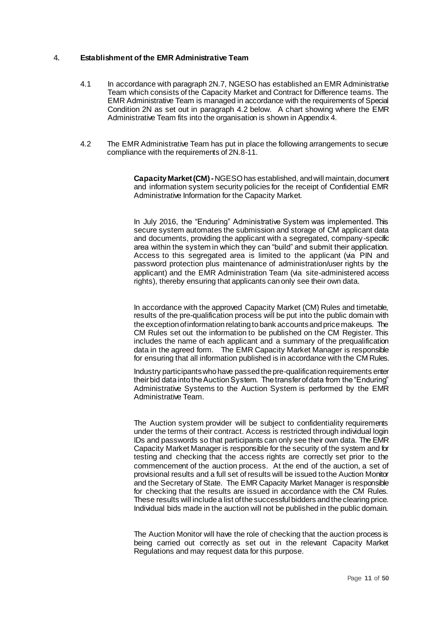#### **4. Establishment of the EMR Administrative Team**

- 4.1 In accordance with paragraph 2N.7, NGESO has established an EMR Administrative Team which consists of the Capacity Market and Contract for Difference teams. The EMR Administrative Team is managed in accordance with the requirements of Special Condition 2N as set out in paragraph 4.2 below. A chart showing where the EMR Administrative Team fits into the organisation is shown in Appendix 4.
- 4.2 The EMR Administrative Team has put in place the following arrangements to secure compliance with the requirements of 2N.8-11.

**Capacity Market (CM) -**NGESO has established, and will maintain, document and information system security policies for the receipt of Confidential EMR Administrative Information for the Capacity Market.

In July 2016, the "Enduring" Administrative System was implemented. This secure system automates the submission and storage of CM applicant data and documents, providing the applicant with a segregated, company-specific area within the system in which they can "build" and submit their application. Access to this segregated area is limited to the applicant (via PIN and password protection plus maintenance of administration/user rights by the applicant) and the EMR Administration Team (via site-administered access rights), thereby ensuring that applicants can only see their own data.

In accordance with the approved Capacity Market (CM) Rules and timetable, results of the pre-qualification process will be put into the public domain with the exception of information relating to bank accounts and price makeups. The CM Rules set out the information to be published on the CM Register. This includes the name of each applicant and a summary of the prequalification data in the agreed form. The EMR Capacity Market Manager is responsible for ensuring that all information published is in accordance with the CM Rules.

Industry participants who have passed the pre-qualification requirements enter their bid data into the Auction System. The transfer of data from the "Enduring" Administrative Systems to the Auction System is performed by the EMR Administrative Team.

The Auction system provider will be subject to confidentiality requirements under the terms of their contract. Access is restricted through individual login IDs and passwords so that participants can only see their own data. The EMR Capacity Market Manager is responsible for the security of the system and for testing and checking that the access rights are correctly set prior to the commencement of the auction process. At the end of the auction, a set of provisional results and a full set of results will be issued to the Auction Monitor and the Secretary of State. The EMR Capacity Market Manager is responsible for checking that the results are issued in accordance with the CM Rules. These results will include a list of the successful bidders and the clearing price. Individual bids made in the auction will not be published in the public domain.

The Auction Monitor will have the role of checking that the auction process is being carried out correctly as set out in the relevant Capacity Market Regulations and may request data for this purpose.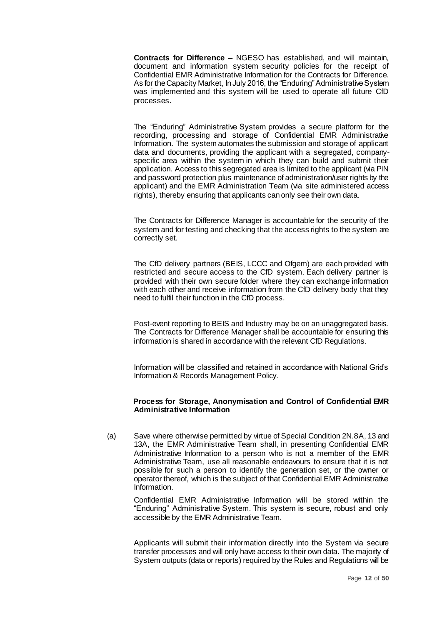**Contracts for Difference –** NGESO has established, and will maintain, document and information system security policies for the receipt of Confidential EMR Administrative Information for the Contracts for Difference. As for the Capacity Market, In July 2016, the "Enduring" Administrative System was implemented and this system will be used to operate all future CfD processes.

The "Enduring" Administrative System provides a secure platform for the recording, processing and storage of Confidential EMR Administrative Information. The system automates the submission and storage of applicant data and documents, providing the applicant with a segregated, companyspecific area within the system in which they can build and submit their application. Access to this segregated area is limited to the applicant (via PIN and password protection plus maintenance of administration/user rights by the applicant) and the EMR Administration Team (via site administered access rights), thereby ensuring that applicants can only see their own data.

The Contracts for Difference Manager is accountable for the security of the system and for testing and checking that the access rights to the system are correctly set.

The CfD delivery partners (BEIS, LCCC and Ofgem) are each provided with restricted and secure access to the CfD system. Each delivery partner is provided with their own secure folder where they can exchange information with each other and receive information from the CfD delivery body that they need to fulfil their function in the CfD process.

Post-event reporting to BEIS and Industry may be on an unaggregated basis. The Contracts for Difference Manager shall be accountable for ensuring this information is shared in accordance with the relevant CfD Regulations.

Information will be classified and retained in accordance with National Grid's Information & Records Management Policy.

#### **Process for Storage, Anonymisation and Control of Confidential EMR Administrative Information**

(a) Save where otherwise permitted by virtue of Special Condition 2N.8A, 13 and 13A, the EMR Administrative Team shall, in presenting Confidential EMR Administrative Information to a person who is not a member of the EMR Administrative Team, use all reasonable endeavours to ensure that it is not possible for such a person to identify the generation set, or the owner or operator thereof, which is the subject of that Confidential EMR Administrative Information.

Confidential EMR Administrative Information will be stored within the "Enduring" Administrative System. This system is secure, robust and only accessible by the EMR Administrative Team.

Applicants will submit their information directly into the System via secure transfer processes and will only have access to their own data. The majority of System outputs (data or reports) required by the Rules and Regulations will be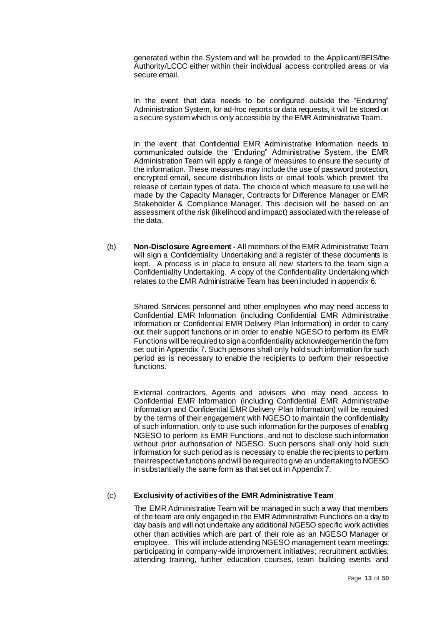generated within the System and will be provided to the Applicant/BEIS/the Authority/LCCC either within their individual access controlled areas or via secure email.

In the event that data needs to be configured outside the "Enduring" Administration System, for ad-hoc reports or data requests, it will be stored on a secure system which is only accessible by the EMR Administrative Team.

In the event that Confidential EMR Administrative Information needs to communicated outside the "Enduring" Administrative System, the EMR Administration Team will apply a range of measures to ensure the security of the information. These measures may include the use of password protection, encrypted email, secure distribution lists or email tools which prevent the release of certain types of data. The choice of which measure to use will be made by the Capacity Manager, Contracts for Difference Manager or EMR Stakeholder & Compliance Manager. This decision will be based on an assessment of the risk (likelihood and impact) associated with the release of the data.

(b) **Non-Disclosure Agreement -** All members of the EMR Administrative Team will sign a Confidentiality Undertaking and a register of these documents is kept. A process is in place to ensure all new starters to the team sign a Confidentiality Undertaking. A copy of the Confidentiality Undertaking which relates to the EMR Administrative Team has been included in appendix 6.

Shared Services personnel and other employees who may need access to Confidential EMR Information (including Confidential EMR Administrative Information or Confidential EMR Delivery Plan Information) in order to carry out their support functions or in order to enable NGESO to perform its EMR Functions will be required to sign a confidentiality acknowledgement in the form set out in Appendix 7. Such persons shall only hold such information for such period as is necessary to enable the recipients to perform their respective functions.

External contractors, Agents and advisers who may need access to Confidential EMR Information (including Confidential EMR Administrative Information and Confidential EMR Delivery Plan Information) will be required by the terms of their engagement with NGESO to maintain the confidentiality of such information, only to use such information for the purposes of enabling NGESO to perform its EMR Functions, and not to disclose such information without prior authorisation of NGESO. Such persons shall only hold such information for such period as is necessary to enable the recipients to perform their respective functions and will be required to give an undertaking to NGESO in substantially the same form as that set out in Appendix 7.

#### (c) **Exclusivity of activities of the EMR Administrative Team**

The EMR Administrative Team will be managed in such a way that members of the team are only engaged in the EMR Administrative Functions on a day to day basis and will not undertake any additional NGESO specific work activities other than activities which are part of their role as an NGESO Manager or employee. This will include attending NGESO management team meetings; participating in company-wide improvement initiatives; recruitment activities; attending training, further education courses, team building events and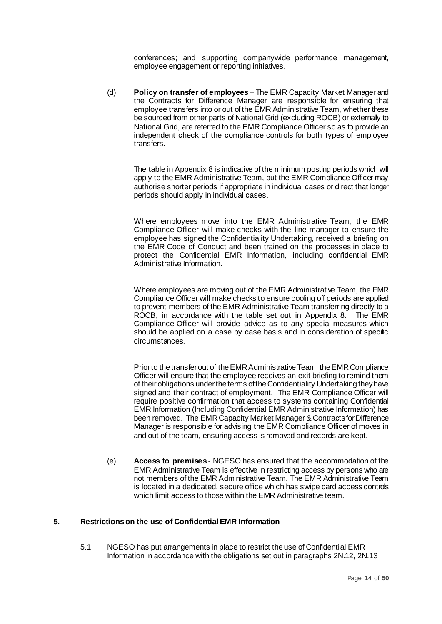conferences; and supporting companywide performance management, employee engagement or reporting initiatives.

(d) **Policy on transfer of employees** – The EMR Capacity Market Manager and the Contracts for Difference Manager are responsible for ensuring that employee transfers into or out of the EMR Administrative Team, whether these be sourced from other parts of National Grid (excluding ROCB) or externally to National Grid, are referred to the EMR Compliance Officer so as to provide an independent check of the compliance controls for both types of employee transfers.

The table in Appendix 8 is indicative of the minimum posting periods which will apply to the EMR Administrative Team, but the EMR Compliance Officer may authorise shorter periods if appropriate in individual cases or direct that longer periods should apply in individual cases.

Where employees move into the EMR Administrative Team, the EMR Compliance Officer will make checks with the line manager to ensure the employee has signed the Confidentiality Undertaking, received a briefing on the EMR Code of Conduct and been trained on the processes in place to protect the Confidential EMR Information, including confidential EMR Administrative Information.

Where employees are moving out of the EMR Administrative Team, the EMR Compliance Officer will make checks to ensure cooling off periods are applied to prevent members of the EMR Administrative Team transferring directly to a ROCB, in accordance with the table set out in Appendix 8. The EMR Compliance Officer will provide advice as to any special measures which should be applied on a case by case basis and in consideration of specific circumstances.

Prior to the transfer out of the EMR Administrative Team, the EMR Compliance Officer will ensure that the employee receives an exit briefing to remind them of theirobligations under the terms of the Confidentiality Undertaking they have signed and their contract of employment. The EMR Compliance Officer will require positive confirmation that access to systems containing Confidential EMR Information (Including Confidential EMR Administrative Information) has been removed. The EMR Capacity Market Manager & Contracts for Difference Manager is responsible for advising the EMR Compliance Officer of moves in and out of the team, ensuring access is removed and records are kept.

(e) **Access to premises** - NGESO has ensured that the accommodation of the EMR Administrative Team is effective in restricting access by persons who are not members of the EMR Administrative Team. The EMR Administrative Team is located in a dedicated, secure office which has swipe card access controls which limit access to those within the EMR Administrative team.

#### **5. Restrictions on the use of Confidential EMR Information**

5.1 NGESO has put arrangements in place to restrict the use of Confidential EMR Information in accordance with the obligations set out in paragraphs 2N.12, 2N.13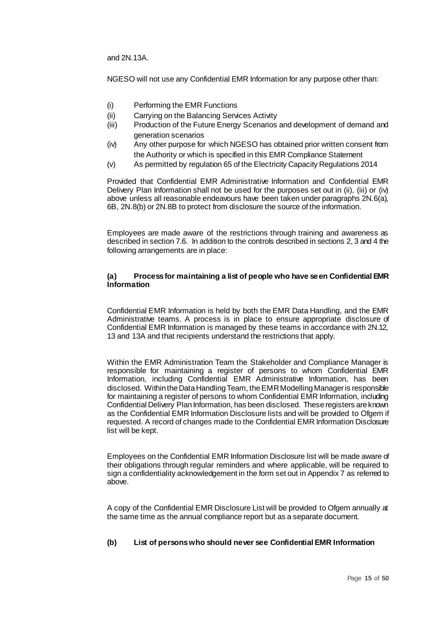and 2N.13A.

NGESO will not use any Confidential EMR Information for any purpose other than:

- (i) Performing the EMR Functions
- (ii) Carrying on the Balancing Services Activity
- (iii) Production of the Future Energy Scenarios and development of demand and generation scenarios
- (iv) Any other purpose for which NGESO has obtained prior written consent from the Authority or which is specified in this EMR Compliance Statement
- (v) As permitted by regulation 65 of the Electricity Capacity Regulations 2014

Provided that Confidential EMR Administrative Information and Confidential EMR Delivery Plan Information shall not be used for the purposes set out in (ii), (iii) or (iv) above unless all reasonable endeavours have been taken under paragraphs 2N.6(a), 6B, 2N.8(b) or 2N.8B to protect from disclosure the source of the information.

Employees are made aware of the restrictions through training and awareness as described in section 7.6. In addition to the controls described in sections 2, 3 and 4 the following arrangements are in place:

#### **(a) Process for maintaining a list of people who have seen Confidential EMR Information**

Confidential EMR Information is held by both the EMR Data Handling, and the EMR Administrative teams. A process is in place to ensure appropriate disclosure of Confidential EMR Information is managed by these teams in accordance with 2N.12, 13 and 13A and that recipients understand the restrictions that apply.

Within the EMR Administration Team the Stakeholder and Compliance Manager is responsible for maintaining a register of persons to whom Confidential EMR Information, including Confidential EMR Administrative Information, has been disclosed. Within the Data Handling Team, the EMR Modelling Manager is responsible for maintaining a register of persons to whom Confidential EMR Information, including Confidential Delivery Plan Information, has been disclosed. These registers are known as the Confidential EMR Information Disclosure lists and will be provided to Ofgem if requested. A record of changes made to the Confidential EMR Information Disclosure list will be kept.

Employees on the Confidential EMR Information Disclosure list will be made aware of their obligations through regular reminders and where applicable, will be required to sign a confidentiality acknowledgement in the form set out in Appendix 7 as referred to above.

A copy of the Confidential EMR Disclosure List will be provided to Ofgem annually at the same time as the annual compliance report but as a separate document.

#### **(b) List of persons who should never see Confidential EMR Information**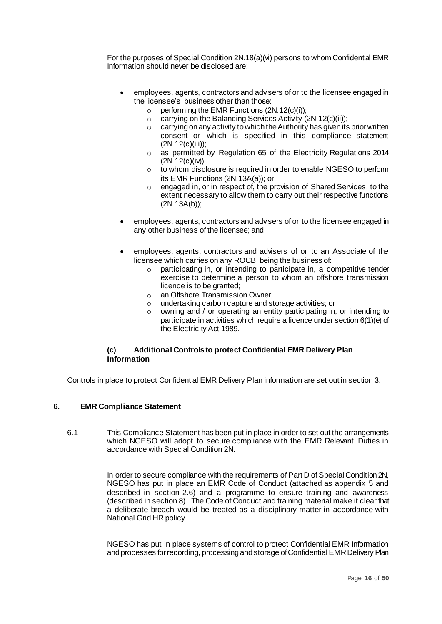For the purposes of Special Condition 2N.18(a)(vi) persons to whom Confidential EMR Information should never be disclosed are:

- employees, agents, contractors and advisers of or to the licensee engaged in the licensee's business other than those:
	- $\circ$  performing the EMR Functions (2N.12(c)(i));
	- $\circ$  carrying on the Balancing Services Activity (2N.12(c)(ii));
	- $\circ$  carrying on any activity to which the Authority has given its prior written consent or which is specified in this compliance statement (2N.12(c)(iii));
	- o as permitted by Regulation 65 of the Electricity Regulations 2014 (2N.12(c)(iv))
	- $\circ$  to whom disclosure is required in order to enable NGESO to perform its EMR Functions (2N.13A(a)); or
	- o engaged in, or in respect of, the provision of Shared Services, to the extent necessary to allow them to carry out their respective functions (2N.13A(b));
- employees, agents, contractors and advisers of or to the licensee engaged in any other business of the licensee; and
- employees, agents, contractors and advisers of or to an Associate of the licensee which carries on any ROCB, being the business of:
	- o participating in, or intending to participate in, a competitive tender exercise to determine a person to whom an offshore transmission licence is to be granted;
	- o an Offshore Transmission Owner;
	- o undertaking carbon capture and storage activities; or
	- o owning and / or operating an entity participating in, or intending to participate in activities which require a licence under section 6(1)(e) of the Electricity Act 1989.

#### **(c) Additional Controls to protect Confidential EMR Delivery Plan Information**

Controls in place to protect Confidential EMR Delivery Plan information are set out in section 3.

#### **6. EMR Compliance Statement**

6.1 This Compliance Statement has been put in place in order to set out the arrangements which NGESO will adopt to secure compliance with the EMR Relevant Duties in accordance with Special Condition 2N.

> In order to secure compliance with the requirements of Part D of Special Condition 2N, NGESO has put in place an EMR Code of Conduct (attached as appendix 5 and described in section 2.6) and a programme to ensure training and awareness (described in section 8). The Code of Conduct and training material make it clear that a deliberate breach would be treated as a disciplinary matter in accordance with National Grid HR policy.

> NGESO has put in place systems of control to protect Confidential EMR Information and processes for recording, processing and storage of Confidential EMR Delivery Plan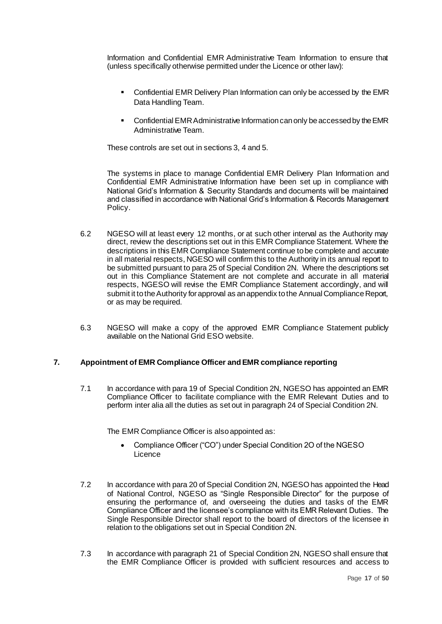Information and Confidential EMR Administrative Team Information to ensure that (unless specifically otherwise permitted under the Licence or other law):

- Confidential EMR Delivery Plan Information can only be accessed by the EMR Data Handling Team.
- **Confidential EMR Administrative Information can only be accessed by the EMR** Administrative Team.

These controls are set out in sections 3, 4 and 5.

The systems in place to manage Confidential EMR Delivery Plan Information and Confidential EMR Administrative Information have been set up in compliance with National Grid's Information & Security Standards and documents will be maintained and classified in accordance with National Grid's Information & Records Management Policy.

- 6.2 NGESO will at least every 12 months, or at such other interval as the Authority may direct, review the descriptions set out in this EMR Compliance Statement. Where the descriptions in this EMR Compliance Statement continue to be complete and accurate in all material respects, NGESO will confirm this to the Authority in its annual report to be submitted pursuant to para 25 of Special Condition 2N. Where the descriptions set out in this Compliance Statement are not complete and accurate in all material respects, NGESO will revise the EMR Compliance Statement accordingly, and will submit it to the Authority for approval as an appendix to the Annual Compliance Report, or as may be required.
- 6.3 NGESO will make a copy of the approved EMR Compliance Statement publicly available on the National Grid ESO website.

#### **7. Appointment of EMR Compliance Officer and EMR compliance reporting**

7.1 In accordance with para 19 of Special Condition 2N, NGESO has appointed an EMR Compliance Officer to facilitate compliance with the EMR Relevant Duties and to perform inter alia all the duties as set out in paragraph 24 of Special Condition 2N.

The EMR Compliance Officer is also appointed as:

- Compliance Officer ("CO") under Special Condition 2O of the NGESO Licence
- 7.2 In accordance with para 20 of Special Condition 2N, NGESO has appointed the Head of National Control, NGESO as "Single Responsible Director" for the purpose of ensuring the performance of, and overseeing the duties and tasks of the EMR Compliance Officer and the licensee's compliance with its EMR Relevant Duties. The Single Responsible Director shall report to the board of directors of the licensee in relation to the obligations set out in Special Condition 2N.
- 7.3 In accordance with paragraph 21 of Special Condition 2N, NGESO shall ensure that the EMR Compliance Officer is provided with sufficient resources and access to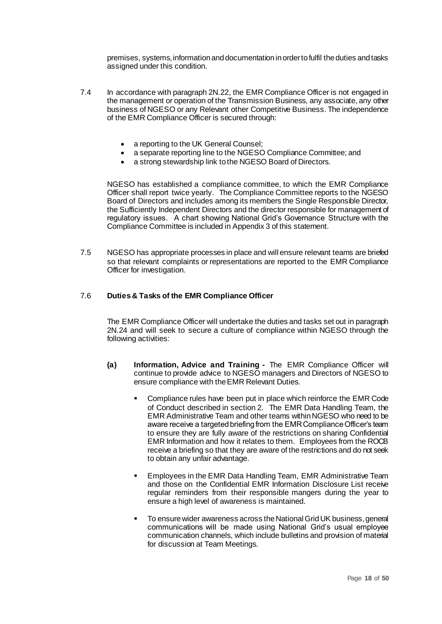premises, systems, information and documentation in order to fulfil the duties and tasks assigned under this condition.

- 7.4 In accordance with paragraph 2N.22, the EMR Compliance Officer is not engaged in the management or operation of the Transmission Business, any associate, any other business of NGESO or any Relevant other Competitive Business. The independence of the EMR Compliance Officer is secured through:
	- a reporting to the UK General Counsel;
	- a separate reporting line to the NGESO Compliance Committee; and
	- a strong stewardship link to the NGESO Board of Directors.

NGESO has established a compliance committee, to which the EMR Compliance Officer shall report twice yearly. The Compliance Committee reports to the NGESO Board of Directors and includes among its members the Single Responsible Director, the Sufficiently Independent Directors and the director responsible for management of regulatory issues. A chart showing National Grid's Governance Structure with the Compliance Committee is included in Appendix 3 of this statement.

7.5 NGESO has appropriate processes in place and will ensure relevant teams are briefed so that relevant complaints or representations are reported to the EMR Compliance Officer for investigation.

#### 7.6 **Duties & Tasks of the EMR Compliance Officer**

The EMR Compliance Officer will undertake the duties and tasks set out in paragraph 2N.24 and will seek to secure a culture of compliance within NGESO through the following activities:

- **(a) Information, Advice and Training -** The EMR Compliance Officer will continue to provide advice to NGESO managers and Directors of NGESO to ensure compliance with the EMR Relevant Duties.
	- Compliance rules have been put in place which reinforce the EMR Code of Conduct described in section 2. The EMR Data Handling Team, the EMR Administrative Team and other teams within NGESO who need to be aware receive a targeted briefing from the EMR Compliance Officer's team to ensure they are fully aware of the restrictions on sharing Confidential EMR Information and how it relates to them. Employees from the ROCB receive a briefing so that they are aware of the restrictions and do not seek to obtain any unfair advantage.
	- Employees in the EMR Data Handling Team, EMR Administrative Team and those on the Confidential EMR Information Disclosure List receive regular reminders from their responsible mangers during the year to ensure a high level of awareness is maintained.
	- To ensure wider awareness across the National Grid UK business, general communications will be made using National Grid's usual employee communication channels, which include bulletins and provision of material for discussion at Team Meetings.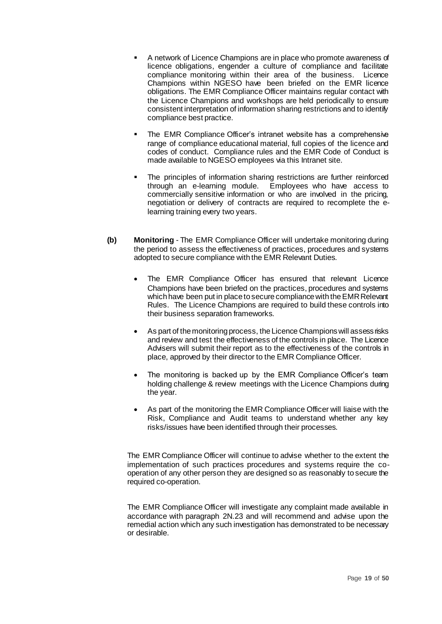- A network of Licence Champions are in place who promote awareness of licence obligations, engender a culture of compliance and facilitate compliance monitoring within their area of the business. Licence Champions within NGESO have been briefed on the EMR licence obligations. The EMR Compliance Officer maintains regular contact with the Licence Champions and workshops are held periodically to ensure consistent interpretation of information sharing restrictions and to identify compliance best practice.
- The EMR Compliance Officer's intranet website has a comprehensive range of compliance educational material, full copies of the licence and codes of conduct. Compliance rules and the EMR Code of Conduct is made available to NGESO employees via this Intranet site.
- The principles of information sharing restrictions are further reinforced through an e-learning module. Employees who have access to commercially sensitive information or who are involved in the pricing, negotiation or delivery of contracts are required to recomplete the elearning training every two years.
- **(b) Monitoring** The EMR Compliance Officer will undertake monitoring during the period to assess the effectiveness of practices, procedures and systems adopted to secure compliance with the EMR Relevant Duties.
	- The EMR Compliance Officer has ensured that relevant Licence Champions have been briefed on the practices, procedures and systems which have been put in place to secure compliance with the EMR Relevant Rules. The Licence Champions are required to build these controls into their business separation frameworks.
	- As part of the monitoring process, the Licence Champions will assess risks and review and test the effectiveness of the controls in place. The Licence Advisers will submit their report as to the effectiveness of the controls in place, approved by their director to the EMR Compliance Officer.
	- The monitoring is backed up by the EMR Compliance Officer's team holding challenge & review meetings with the Licence Champions during the year.
	- As part of the monitoring the EMR Compliance Officer will liaise with the Risk, Compliance and Audit teams to understand whether any key risks/issues have been identified through their processes.

The EMR Compliance Officer will continue to advise whether to the extent the implementation of such practices procedures and systems require the cooperation of any other person they are designed so as reasonably to secure the required co-operation.

The EMR Compliance Officer will investigate any complaint made available in accordance with paragraph 2N.23 and will recommend and advise upon the remedial action which any such investigation has demonstrated to be necessary or desirable.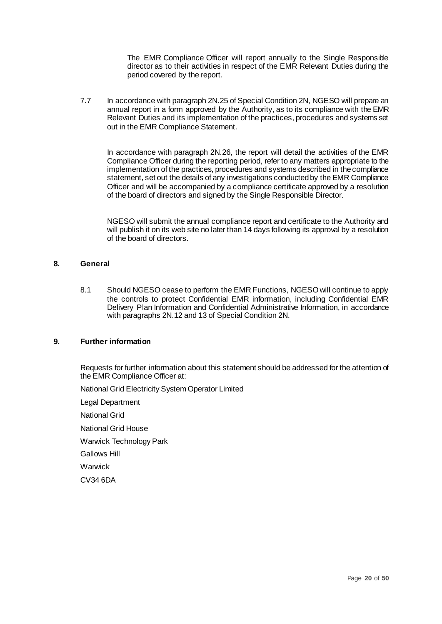The EMR Compliance Officer will report annually to the Single Responsible director as to their activities in respect of the EMR Relevant Duties during the period covered by the report.

7.7 In accordance with paragraph 2N.25 of Special Condition 2N, NGESO will prepare an annual report in a form approved by the Authority, as to its compliance with the EMR Relevant Duties and its implementation of the practices, procedures and systems set out in the EMR Compliance Statement.

In accordance with paragraph 2N.26, the report will detail the activities of the EMR Compliance Officer during the reporting period, refer to any matters appropriate to the implementation of the practices, procedures and systems described in the compliance statement, set out the details of any investigations conducted by the EMR Compliance Officer and will be accompanied by a compliance certificate approved by a resolution of the board of directors and signed by the Single Responsible Director.

NGESO will submit the annual compliance report and certificate to the Authority and will publish it on its web site no later than 14 days following its approval by a resolution of the board of directors.

#### **8. General**

8.1 Should NGESO cease to perform the EMR Functions, NGESO will continue to apply the controls to protect Confidential EMR information, including Confidential EMR Delivery Plan Information and Confidential Administrative Information, in accordance with paragraphs 2N.12 and 13 of Special Condition 2N.

#### **9. Further information**

Requests for further information about this statement should be addressed for the attention of the EMR Compliance Officer at:

National Grid Electricity System Operator Limited

Legal Department

National Grid

National Grid House

Warwick Technology Park

Gallows Hill

Warwick

CV34 6DA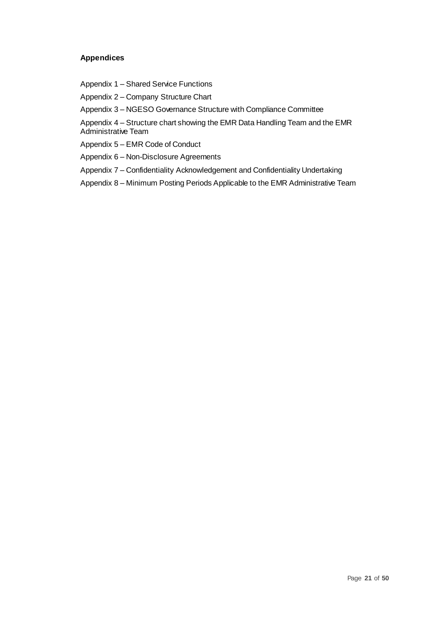#### **Appendices**

Appendix 1 – Shared Service Functions

Appendix 2 – Company Structure Chart

Appendix 3 – NGESO Governance Structure with Compliance Committee

Appendix 4 – Structure chart showing the EMR Data Handling Team and the EMR Administrative Team

Appendix 5 – EMR Code of Conduct

Appendix 6 – Non-Disclosure Agreements

Appendix 7 – Confidentiality Acknowledgement and Confidentiality Undertaking

Appendix 8 – Minimum Posting Periods Applicable to the EMR Administrative Team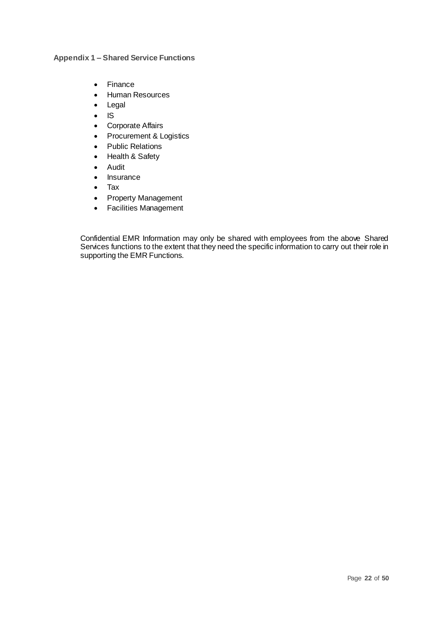**Appendix 1 – Shared Service Functions**

- Finance
- Human Resources
- Legal
- IS
- Corporate Affairs
- Procurement & Logistics
- Public Relations
- Health & Safety
- Audit
- Insurance
- Tax
- Property Management
- Facilities Management

Confidential EMR Information may only be shared with employees from the above Shared Services functions to the extent that they need the specific information to carry out their role in supporting the EMR Functions.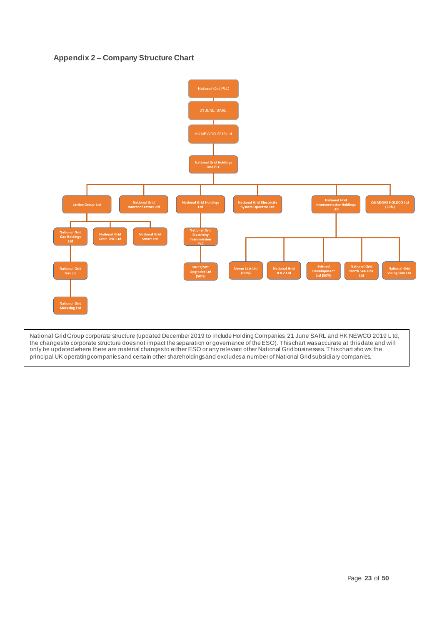#### **Appendix 2 – Company Structure Chart**



National Grid Group corporate structure (updated December 2019 to include Holding Companies, 21 June SARL and HK NEWCO 2019 L td, the changes to corporate structure does not impact the separation or governance of the ESO). This chart was accurate at this date and will only be updated where there are material changes to either ESO or any relevant other National Grid businesses. This chart sho ws the principal UK operating companies and certain other shareholdings and excludes a number of National Grid subsidiary companies.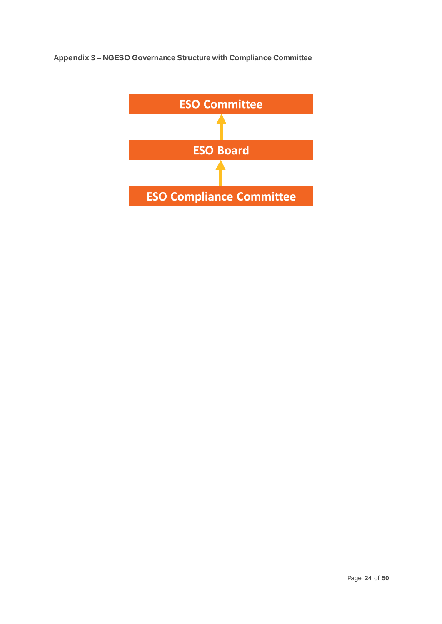**Appendix 3 – NGESO Governance Structure with Compliance Committee** 

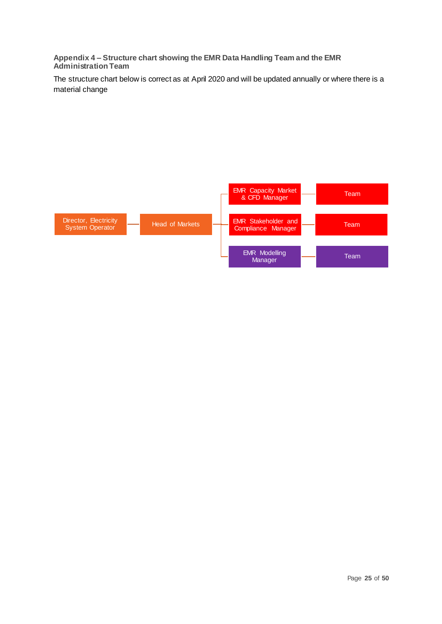**Appendix 4 – Structure chart showing the EMR Data Handling Team and the EMR Administration Team**

The structure chart below is correct as at April 2020 and will be updated annually or where there is a material change

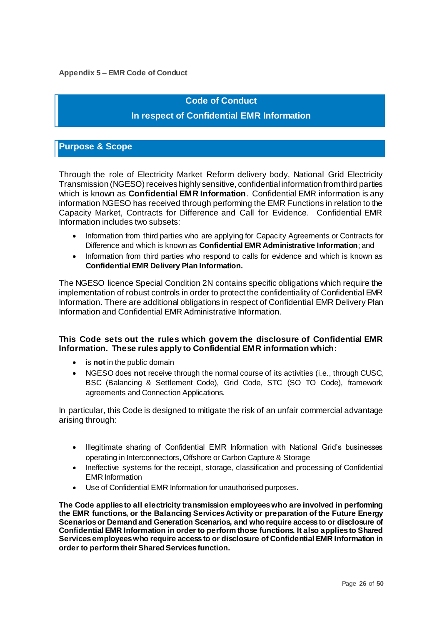#### **Appendix 5 – EMR Code of Conduct**

## **Code of Conduct**

## **In respect of Confidential EMR Information**

## **Purpose & Scope**

Through the role of Electricity Market Reform delivery body, National Grid Electricity Transmission (NGESO) receives highly sensitive, confidential information from third parties which is known as **Confidential EMR Information**. Confidential EMR information is any information NGESO has received through performing the EMR Functions in relation to the Capacity Market, Contracts for Difference and Call for Evidence. Confidential EMR Information includes two subsets:

- Information from third parties who are applying for Capacity Agreements or Contracts for Difference and which is known as **Confidential EMR Administrative Information**; and
- Information from third parties who respond to calls for evidence and which is known as **Confidential EMR Delivery Plan Information.**

The NGESO licence Special Condition 2N contains specific obligations which require the implementation of robust controls in order to protect the confidentiality of Confidential EMR Information. There are additional obligations in respect of Confidential EMR Delivery Plan Information and Confidential EMR Administrative Information.

## **This Code sets out the rules which govern the disclosure of Confidential EMR Information. These rules apply to Confidential EMR information which:**

- is **not** in the public domain
- NGESO does **not** receive through the normal course of its activities (i.e., through CUSC, BSC (Balancing & Settlement Code), Grid Code, STC (SO TO Code), framework agreements and Connection Applications.

In particular, this Code is designed to mitigate the risk of an unfair commercial advantage arising through:

- Illegitimate sharing of Confidential EMR Information with National Grid's businesses operating in Interconnectors, Offshore or Carbon Capture & Storage
- Ineffective systems for the receipt, storage, classification and processing of Confidential EMR Information
- Use of Confidential EMR Information for unauthorised purposes.

**The Code applies to all electricity transmission employees who are involved in performing the EMR functions, or the Balancing Services Activity or preparation of the Future Energy Scenarios or Demand and Generation Scenarios, and who require access to or disclosure of Confidential EMR Information in order to perform those functions. It also applies to Shared Services employees who require access to or disclosure of Confidential EMR Information in order to perform their Shared Services function.**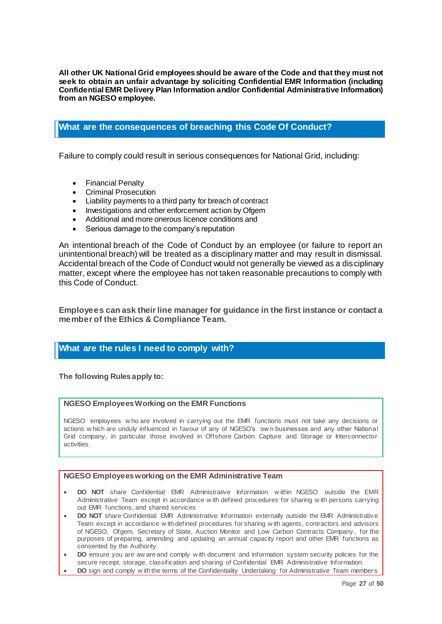**All other UK National Grid employees should be aware of the Code and that they must not seek to obtain an unfair advantage by soliciting Confidential EMR Information (including Confidential EMR Delivery Plan Information and/or Confidential Administrative Information) from an NGESO employee.** 

## **What are the consequences of breaching this Code Of Conduct?**

Failure to comply could result in serious consequences for National Grid, including:

- Financial Penalty
- Criminal Prosecution
- Liability payments to a third party for breach of contract
- Investigations and other enforcement action by Ofgem
- Additional and more onerous licence conditions and
- Serious damage to the company's reputation

An intentional breach of the Code of Conduct by an employee (or failure to report an unintentional breach) will be treated as a disciplinary matter and may result in dismissal. Accidental breach of the Code of Conduct would not generally be viewed as a disciplinary matter, except where the employee has not taken reasonable precautions to comply with this Code of Conduct.

**Employees can ask their line manager for guidance in the first instance or contact a member of the Ethics & Compliance Team.** 

#### **What are the rules I need to comply with?**

**The following Rules apply to:** 

#### **NGESO Employees Working on the EMR Functions**

NGESO employees w ho are involved in carrying out the EMR functions must not take any decisions or actions w hich are unduly influenced in favour of any of NGESO's ow n businesses and any other National Grid company, in particular those involved in Offshore Carbon Capture and Storage or Interconnector activities.

#### **NGESO Employees working on the EMR Administrative Team**

- **DO NOT** share Confidential EMR Administrative Information w ithin NGESO outside the EMR Administrative Team except in accordance w ith defined procedures for sharing w ith persons carrying out EMR functions, and shared services
- **DO NOT** share Confidential EMR Administrative Information externally outside the EMR Administrative Team except in accordance w ith defined procedures for sharing w ith agents, contractors and advisors of NGESO, Ofgem, Secretary of State, Auction Monitor and Low Carbon Contracts Company , for the purposes of preparing, amending and updating an annual capacity report and other EMR functions as consented by the Authority.
- **DO** ensure you are aw are and comply w ith document and information system security policies for the secure receipt, storage, classification and sharing of Confidential EMR Administrative Information.
- **DO** sign and comply w ith the terms of the Confidentiality Undertaking for Administrative Team members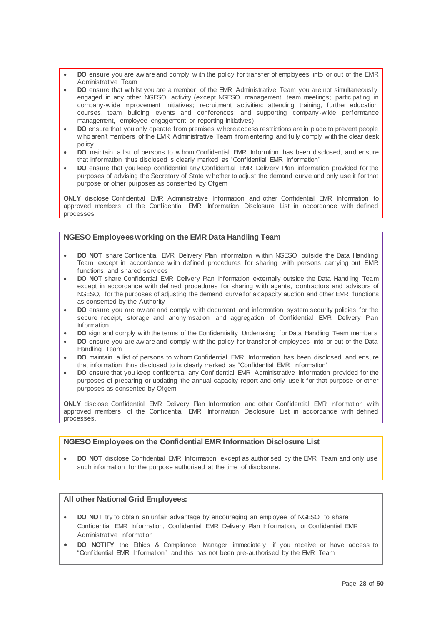- **DO** ensure you are aw are and comply w ith the policy for transfer of employees into or out of the EMR Administrative Team
- **DO** ensure that w hilst you are a member of the EMR Administrative Team you are not simultaneously engaged in any other NGESO activity (except NGESO management team meetings; participating in company-w ide improvement initiatives; recruitment activities; attending training, further education courses, team building events and conferences; and supporting company -w ide performance management, employee engagement or reporting initiatives)
- **DO** ensure that you only operate from premises w here access restrictions are in place to prevent people w ho aren't members of the EMR Administrative Team from entering and fully comply w ith the clear desk policy.
- **DO** maintain a list of persons to w hom Confidential EMR Informtion has been disclosed, and ensure that information thus disclosed is clearly marked as "Confidential EMR Information"
- **DO** ensure that you keep confidential any Confidential EMR Delivery Plan information provided for the purposes of advising the Secretary of State w hether to adjust the demand curve and only use it for that purpose or other purposes as consented by Ofgem

**ONLY** disclose Confidential EMR Administrative Information and other Confidential EMR Information to approved members of the Confidential EMR Information Disclosure List in accordance w ith defined processes

#### **NGESO Employees working on the EMR Data Handling Team**

- **DO NOT** share Confidential EMR Delivery Plan information w ithin NGESO outside the Data Handling Team except in accordance w ith defined procedures for sharing w ith persons carrying out EMR functions, and shared services
- **DO NOT** share Confidential EMR Delivery Plan Information externally outside the Data Handling Team except in accordance w ith defined procedures for sharing w ith agents, contractors and advisors of NGESO, for the purposes of adjusting the demand curve for a capacity auction and other EMR functions as consented by the Authority
- **DO** ensure you are aw are and comply w ith document and information system security policies for the secure receipt, storage and anonymisation and aggregation of Confidential EMR Delivery Plan Information.
- **DO** sign and comply w ith the terms of the Confidentiality Undertaking for Data Handling Team members
- **DO** ensure you are aw are and comply w ith the policy for transfer of employees into or out of the Data Handling Team
- **DO** maintain a list of persons to w hom Confidential EMR Information has been disclosed, and ensure that information thus disclosed to is clearly marked as "Confidential EMR Information"
- **DO** ensure that you keep confidential any Confidential EMR Administrative information provided for the purposes of preparing or updating the annual capacity report and only use it for that purpose or other purposes as consented by Ofgem

**ONLY** disclose Confidential EMR Delivery Plan Information and other Confidential EMR Information w ith approved members of the Confidential EMR Information Disclosure List in accordance w ith defined processes.

#### **NGESO Employees on the Confidential EMR Information Disclosure List**

• **DO NOT** disclose Confidential EMR Information except as authorised by the EMR Team and only use such information for the purpose authorised at the time of disclosure.

#### **All other National Grid Employees:**

- **DO NOT** try to obtain an unfair advantage by encouraging an employee of NGESO to share Confidential EMR Information, Confidential EMR Delivery Plan Information, or Confidential EMR Administrative Information
- **DO NOTIFY** the Ethics & Compliance Manager immediately if you receive or have access to "Confidential EMR Information" and this has not been pre-authorised by the EMR Team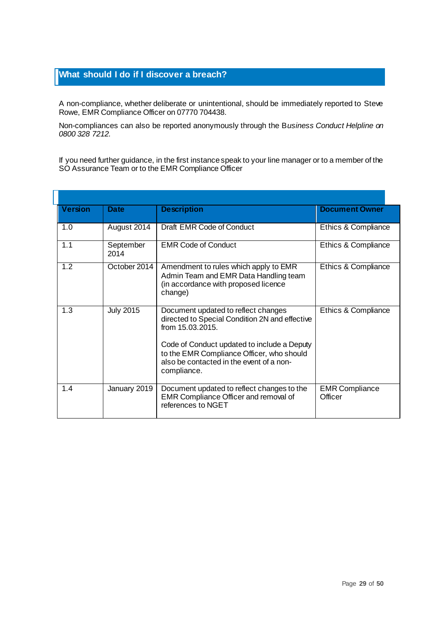## **What should I do if I discover a breach?**

A non-compliance, whether deliberate or unintentional, should be immediately reported to Steve Rowe, EMR Compliance Officer on 07770 704438.

Non-compliances can also be reported anonymously through the B*usiness Conduct Helpline on 0800 328 7212.*

If you need further guidance, in the first instance speak to your line manager or to a member of the SO Assurance Team or to the EMR Compliance Officer

|                    | <b>Version</b> | <b>Date</b>       | <b>Description</b>                                                                                                                                                                                                                                               | <b>Document Owner</b>            |
|--------------------|----------------|-------------------|------------------------------------------------------------------------------------------------------------------------------------------------------------------------------------------------------------------------------------------------------------------|----------------------------------|
| 1.0<br>August 2014 |                |                   | Draft EMR Code of Conduct                                                                                                                                                                                                                                        | Ethics & Compliance              |
|                    | 1.1            | September<br>2014 | <b>EMR Code of Conduct</b>                                                                                                                                                                                                                                       | Ethics & Compliance              |
|                    | 1.2            | October 2014      | Amendment to rules which apply to EMR<br>Admin Team and EMR Data Handling team<br>(in accordance with proposed licence<br>change)                                                                                                                                | Ethics & Compliance              |
|                    | 1.3            | <b>July 2015</b>  | Document updated to reflect changes<br>directed to Special Condition 2N and effective<br>from 15.03.2015.<br>Code of Conduct updated to include a Deputy<br>to the EMR Compliance Officer, who should<br>also be contacted in the event of a non-<br>compliance. | Ethics & Compliance              |
|                    | 1.4            | January 2019      | Document updated to reflect changes to the<br>EMR Compliance Officer and removal of<br>references to NGET                                                                                                                                                        | <b>EMR Compliance</b><br>Officer |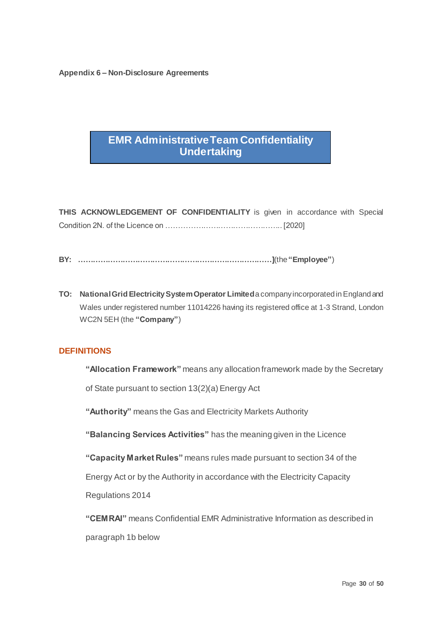**Appendix 6 – Non-Disclosure Agreements**

## **EMR Administrative Team Confidentiality Undertaking**

**THIS ACKNOWLEDGEMENT OF CONFIDENTIALITY** is given in accordance with Special Condition 2N. of the Licence on ……………………………………….. [2020]

- **BY: ……………………………………………………………………]**(the **"Employee"**)
- **TO: National Grid Electricity System Operator Limited**a company incorporated in England and Wales under registered number 11014226 having its registered office at 1-3 Strand, London WC2N 5EH (the **"Company"**)

## **DEFINITIONS**

**"Allocation Framework"** means any allocation framework made by the Secretary

of State pursuant to section 13(2)(a) Energy Act

**"Authority"** means the Gas and Electricity Markets Authority

**"Balancing Services Activities"** has the meaning given in the Licence

**"Capacity Market Rules"** means rules made pursuant to section 34 of the

Energy Act or by the Authority in accordance with the Electricity Capacity

Regulations 2014

**"CEMRAI"** means Confidential EMR Administrative Information as described in paragraph 1b below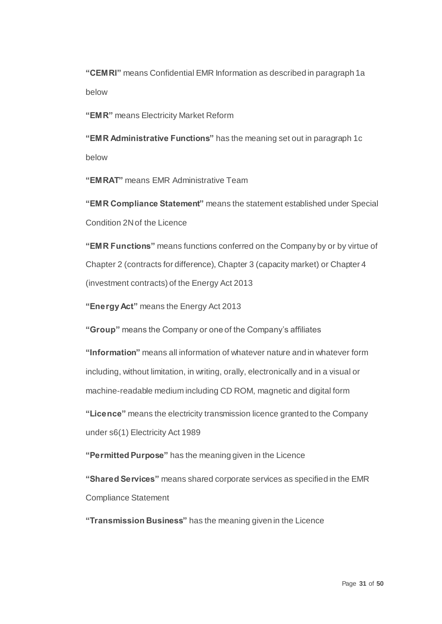**"CEMRI"** means Confidential EMR Information as described in paragraph 1a below

**"EMR"** means Electricity Market Reform

**"EMR Administrative Functions"** has the meaning set out in paragraph 1c below

**"EMRAT"** means EMR Administrative Team

**"EMR Compliance Statement"** means the statement established under Special Condition 2N of the Licence

**"EMR Functions"** means functions conferred on the Company by or by virtue of Chapter 2 (contracts for difference), Chapter 3 (capacity market) or Chapter 4 (investment contracts) of the Energy Act 2013

**"Energy Act"** means the Energy Act 2013

**"Group"** means the Company or one of the Company's affiliates

**"Information"** means all information of whatever nature and in whatever form including, without limitation, in writing, orally, electronically and in a visual or machine-readable medium including CD ROM, magnetic and digital form

**"Licence"** means the electricity transmission licence granted to the Company under s6(1) Electricity Act 1989

**"Permitted Purpose"** has the meaning given in the Licence

**"Shared Services"** means shared corporate services as specified in the EMR Compliance Statement

**"Transmission Business"** has the meaning given in the Licence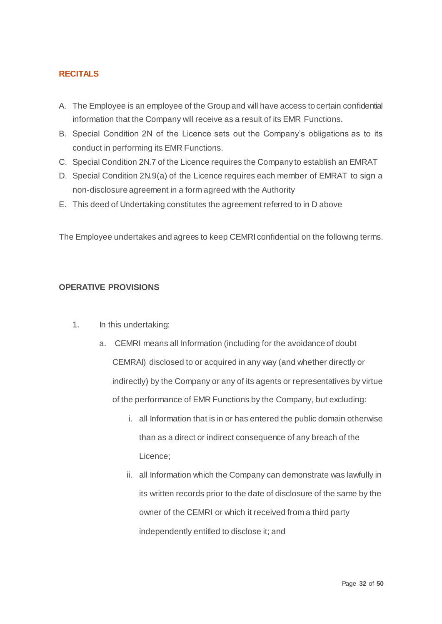## **RECITALS**

- A. The Employee is an employee of the Group and will have access to certain confidential information that the Company will receive as a result of its EMR Functions.
- B. Special Condition 2N of the Licence sets out the Company's obligations as to its conduct in performing its EMR Functions.
- C. Special Condition 2N.7 of the Licence requires the Company to establish an EMRAT
- D. Special Condition 2N.9(a) of the Licence requires each member of EMRAT to sign a non-disclosure agreement in a form agreed with the Authority
- E. This deed of Undertaking constitutes the agreement referred to in D above

The Employee undertakes and agrees to keep CEMRI confidential on the following terms.

## **OPERATIVE PROVISIONS**

- 1. In this undertaking:
	- a. CEMRI means all Information (including for the avoidance of doubt CEMRAI) disclosed to or acquired in any way (and whether directly or indirectly) by the Company or any of its agents or representatives by virtue of the performance of EMR Functions by the Company, but excluding:
		- i. all Information that is in or has entered the public domain otherwise than as a direct or indirect consequence of any breach of the Licence;
		- ii. all Information which the Company can demonstrate was lawfully in its written records prior to the date of disclosure of the same by the owner of the CEMRI or which it received from a third party independently entitled to disclose it; and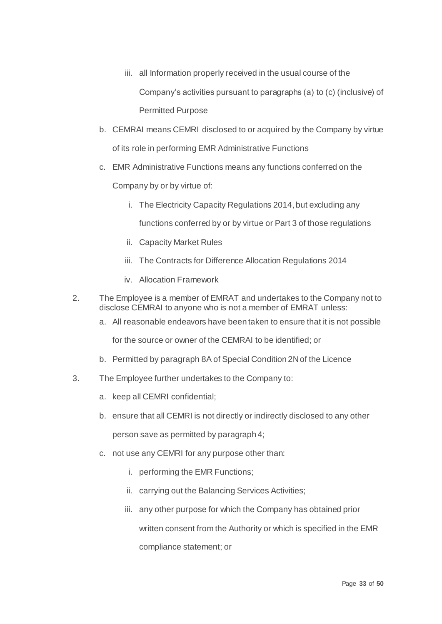- iii. all Information properly received in the usual course of the Company's activities pursuant to paragraphs (a) to (c) (inclusive) of Permitted Purpose
- b. CEMRAI means CEMRI disclosed to or acquired by the Company by virtue of its role in performing EMR Administrative Functions
- c. EMR Administrative Functions means any functions conferred on the

Company by or by virtue of:

i. The Electricity Capacity Regulations 2014, but excluding any

functions conferred by or by virtue or Part 3 of those regulations

- ii. Capacity Market Rules
- iii. The Contracts for Difference Allocation Regulations 2014
- iv. Allocation Framework
- 2. The Employee is a member of EMRAT and undertakes to the Company not to disclose CEMRAI to anyone who is not a member of EMRAT unless:
	- a. All reasonable endeavors have been taken to ensure that it is not possible

for the source or owner of the CEMRAI to be identified; or

- b. Permitted by paragraph 8A of Special Condition 2N of the Licence
- 3. The Employee further undertakes to the Company to:
	- a. keep all CEMRI confidential;
	- b. ensure that all CEMRI is not directly or indirectly disclosed to any other

person save as permitted by paragraph 4;

- c. not use any CEMRI for any purpose other than:
	- i. performing the EMR Functions;
	- ii. carrying out the Balancing Services Activities;
	- iii. any other purpose for which the Company has obtained prior

written consent from the Authority or which is specified in the EMR compliance statement; or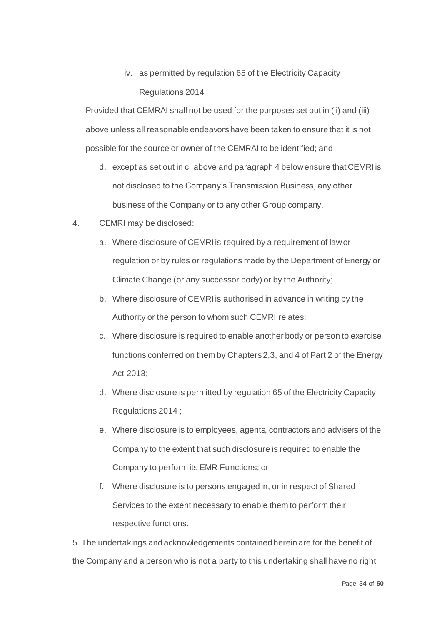## iv. as permitted by regulation 65 of the Electricity Capacity Regulations 2014

Provided that CEMRAI shall not be used for the purposes set out in (ii) and (iii) above unless all reasonable endeavors have been taken to ensure that it is not possible for the source or owner of the CEMRAI to be identified; and

- d. except as set out in c. above and paragraph 4 below ensure that CEMRI is not disclosed to the Company's Transmission Business, any other business of the Company or to any other Group company.
- 4. CEMRI may be disclosed:
	- a. Where disclosure of CEMRI is required by a requirement of law or regulation or by rules or regulations made by the Department of Energy or Climate Change (or any successor body) or by the Authority;
	- b. Where disclosure of CEMRI is authorised in advance in writing by the Authority or the person to whom such CEMRI relates;
	- c. Where disclosure is required to enable another body or person to exercise functions conferred on them by Chapters 2,3, and 4 of Part 2 of the Energy Act 2013;
	- d. Where disclosure is permitted by regulation 65 of the Electricity Capacity Regulations 2014 ;
	- e. Where disclosure is to employees, agents, contractors and advisers of the Company to the extent that such disclosure is required to enable the Company to perform its EMR Functions; or
	- f. Where disclosure is to persons engaged in, or in respect of Shared Services to the extent necessary to enable them to perform their respective functions.

5. The undertakings and acknowledgements contained herein are for the benefit of the Company and a person who is not a party to this undertaking shall have no right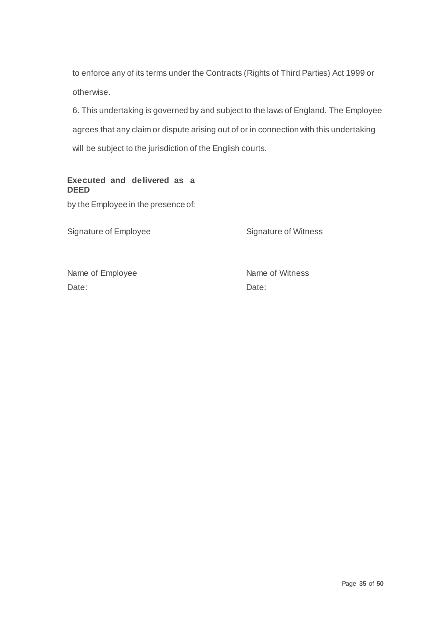to enforce any of its terms under the Contracts (Rights of Third Parties) Act 1999 or otherwise.

6. This undertaking is governed by and subject to the laws of England. The Employee agrees that any claim or dispute arising out of or in connection with this undertaking will be subject to the jurisdiction of the English courts.

## **Executed and delivered as a DEED**

by the Employee in the presence of:

Signature of Employee Signature of Witness

Name of Employee Name of Witness Date: **Date:** Date: **Date: Date: Date:**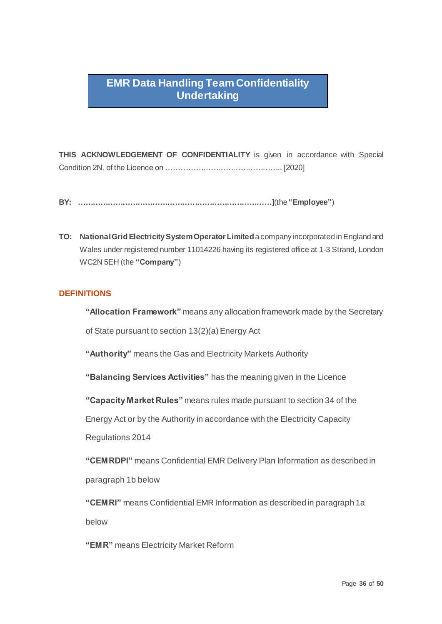## **EMR Data Handling Team Confidentiality Undertaking**

**THIS ACKNOWLEDGEMENT OF CONFIDENTIALITY** is given in accordance with Special Condition 2N. of the Licence on ……………………………………….. [2020]

- **BY: ……………………………………………………………………]**(the **"Employee"**)
- **TO: National Grid Electricity System Operator Limited**a company incorporated in England and Wales under registered number 11014226 having its registered office at 1-3 Strand, London WC2N 5EH (the **"Company"**)

## **DEFINITIONS**

**"Allocation Framework"** means any allocation framework made by the Secretary

of State pursuant to section 13(2)(a) Energy Act

**"Authority"** means the Gas and Electricity Markets Authority

**"Balancing Services Activities"** has the meaning given in the Licence

**"Capacity Market Rules"** means rules made pursuant to section 34 of the

Energy Act or by the Authority in accordance with the Electricity Capacity

Regulations 2014

**"CEMRDPI"** means Confidential EMR Delivery Plan Information as described in paragraph 1b below

**"CEMRI"** means Confidential EMR Information as described in paragraph 1a below

**"EMR"** means Electricity Market Reform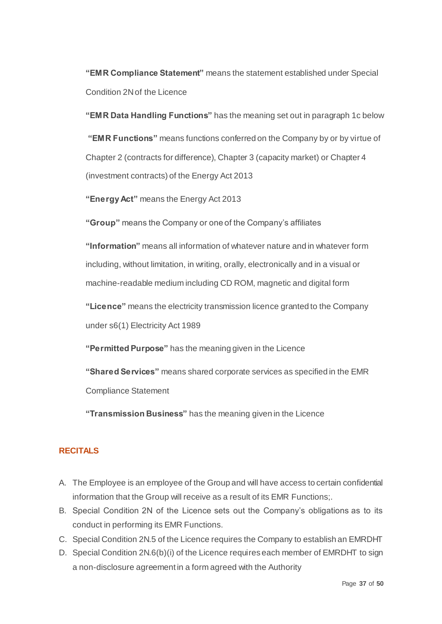**"EMR Compliance Statement"** means the statement established under Special Condition 2N of the Licence

**"EMR Data Handling Functions"** has the meaning set out in paragraph 1c below **"EMR Functions"** means functions conferred on the Company by or by virtue of Chapter 2 (contracts for difference), Chapter 3 (capacity market) or Chapter 4 (investment contracts) of the Energy Act 2013

**"Energy Act"** means the Energy Act 2013

**"Group"** means the Company or one of the Company's affiliates

**"Information"** means all information of whatever nature and in whatever form including, without limitation, in writing, orally, electronically and in a visual or machine-readable medium including CD ROM, magnetic and digital form

**"Licence"** means the electricity transmission licence granted to the Company under s6(1) Electricity Act 1989

**"Permitted Purpose"** has the meaning given in the Licence

**"Shared Services"** means shared corporate services as specified in the EMR

Compliance Statement

**"Transmission Business"** has the meaning given in the Licence

## **RECITALS**

- A. The Employee is an employee of the Group and will have access to certain confidential information that the Group will receive as a result of its EMR Functions;.
- B. Special Condition 2N of the Licence sets out the Company's obligations as to its conduct in performing its EMR Functions.
- C. Special Condition 2N.5 of the Licence requires the Company to establish an EMRDHT
- D. Special Condition 2N.6(b)(i) of the Licence requires each member of EMRDHT to sign a non-disclosure agreement in a form agreed with the Authority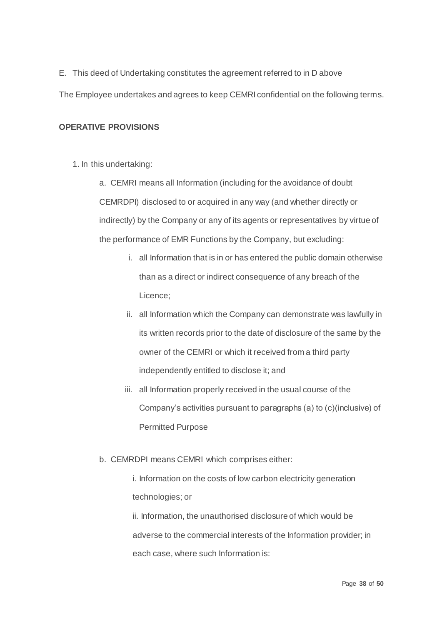E. This deed of Undertaking constitutes the agreement referred to in D above

The Employee undertakes and agrees to keep CEMRI confidential on the following terms.

## **OPERATIVE PROVISIONS**

1. In this undertaking:

a. CEMRI means all Information (including for the avoidance of doubt CEMRDPI) disclosed to or acquired in any way (and whether directly or indirectly) by the Company or any of its agents or representatives by virtue of the performance of EMR Functions by the Company, but excluding:

- i. all Information that is in or has entered the public domain otherwise than as a direct or indirect consequence of any breach of the Licence;
- ii. all Information which the Company can demonstrate was lawfully in its written records prior to the date of disclosure of the same by the owner of the CEMRI or which it received from a third party independently entitled to disclose it; and
- iii. all Information properly received in the usual course of the Company's activities pursuant to paragraphs (a) to (c)(inclusive) of Permitted Purpose
- b. CEMRDPI means CEMRI which comprises either:

i. Information on the costs of low carbon electricity generation technologies; or

ii. Information, the unauthorised disclosure of which would be adverse to the commercial interests of the Information provider; in each case, where such Information is: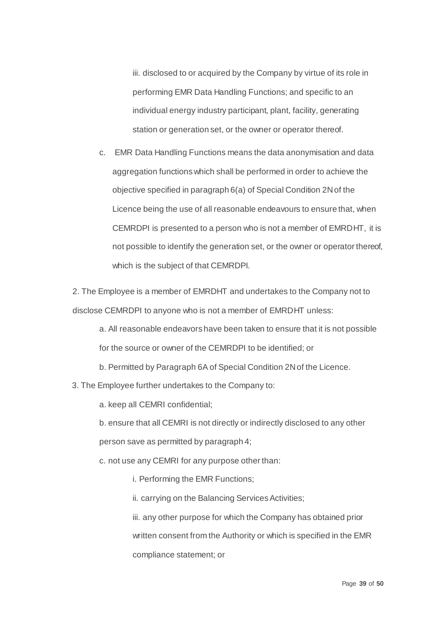iii. disclosed to or acquired by the Company by virtue of its role in performing EMR Data Handling Functions; and specific to an individual energy industry participant, plant, facility, generating station or generation set, or the owner or operator thereof.

c. EMR Data Handling Functions means the data anonymisation and data aggregation functions which shall be performed in order to achieve the objective specified in paragraph 6(a) of Special Condition 2N of the Licence being the use of all reasonable endeavours to ensure that, when CEMRDPI is presented to a person who is not a member of EMRDHT, it is not possible to identify the generation set, or the owner or operator thereof, which is the subject of that CEMRDPI.

2. The Employee is a member of EMRDHT and undertakes to the Company not to disclose CEMRDPI to anyone who is not a member of EMRDHT unless:

a. All reasonable endeavors have been taken to ensure that it is not possible for the source or owner of the CEMRDPI to be identified; or

b. Permitted by Paragraph 6A of Special Condition 2N of the Licence.

3. The Employee further undertakes to the Company to:

a. keep all CEMRI confidential;

b. ensure that all CEMRI is not directly or indirectly disclosed to any other

person save as permitted by paragraph 4;

c. not use any CEMRI for any purpose other than:

i. Performing the EMR Functions;

ii. carrying on the Balancing Services Activities;

iii. any other purpose for which the Company has obtained prior written consent from the Authority or which is specified in the EMR compliance statement; or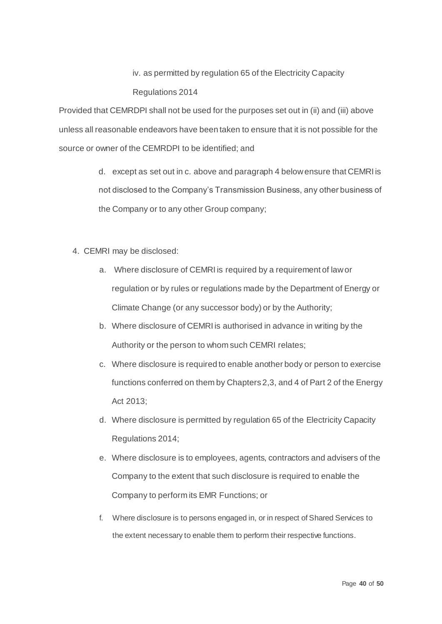## iv. as permitted by regulation 65 of the Electricity Capacity Regulations 2014

Provided that CEMRDPI shall not be used for the purposes set out in (ii) and (iii) above unless all reasonable endeavors have been taken to ensure that it is not possible for the source or owner of the CEMRDPI to be identified; and

> d. except as set out in c. above and paragraph 4 below ensure that CEMRI is not disclosed to the Company's Transmission Business, any other business of the Company or to any other Group company;

- 4. CEMRI may be disclosed:
	- a. Where disclosure of CEMRI is required by a requirement of law or regulation or by rules or regulations made by the Department of Energy or Climate Change (or any successor body) or by the Authority;
	- b. Where disclosure of CEMRI is authorised in advance in writing by the Authority or the person to whom such CEMRI relates;
	- c. Where disclosure is required to enable another body or person to exercise functions conferred on them by Chapters 2,3, and 4 of Part 2 of the Energy Act 2013;
	- d. Where disclosure is permitted by regulation 65 of the Electricity Capacity Regulations 2014;
	- e. Where disclosure is to employees, agents, contractors and advisers of the Company to the extent that such disclosure is required to enable the Company to perform its EMR Functions; or
	- f. Where disclosure is to persons engaged in, or in respect of Shared Services to the extent necessary to enable them to perform their respective functions.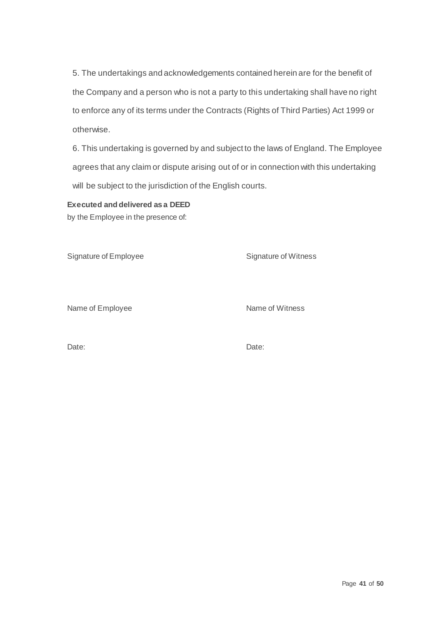5. The undertakings and acknowledgements contained herein are for the benefit of the Company and a person who is not a party to this undertaking shall have no right to enforce any of its terms under the Contracts (Rights of Third Parties) Act 1999 or otherwise.

6. This undertaking is governed by and subject to the laws of England. The Employee agrees that any claim or dispute arising out of or in connection with this undertaking will be subject to the jurisdiction of the English courts.

## **Executed and delivered as a DEED**

by the Employee in the presence of:

Signature of Employee Signature of Witness

Name of Employee Name of Witness

Date: **Date:** Date: **Date: Date: Date: Date: Date: Date: Date: Date: Date: Date: Date: Date: Date: Date: Date: Date: Date: Date: Date: Date: Date: Date: Date: Date: Date: D**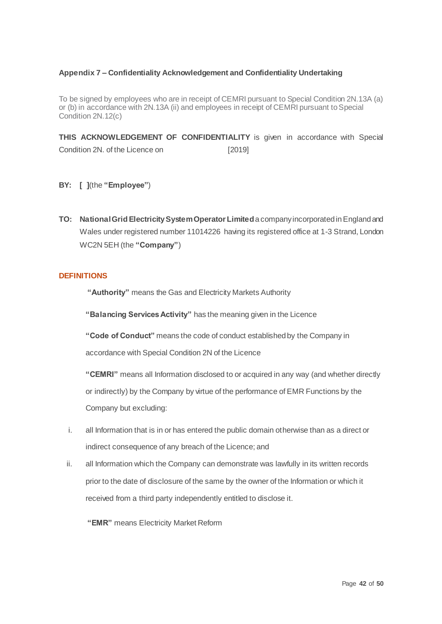#### **Appendix 7 – Confidentiality Acknowledgement and Confidentiality Undertaking**

To be signed by employees who are in receipt of CEMRI pursuant to Special Condition 2N.13A (a) or (b) in accordance with 2N.13A (ii) and employees in receipt of CEMRI pursuant to Special Condition 2N.12(c)

**THIS ACKNOWLEDGEMENT OF CONFIDENTIALITY** is given in accordance with Special Condition 2N. of the Licence on [2019]

- **BY: [ ]**(the **"Employee"**)
- **TO: National Grid Electricity System Operator Limited**a company incorporated in England and Wales under registered number 11014226 having its registered office at 1-3 Strand, London WC2N 5EH (the **"Company"**)

#### **DEFINITIONS**

**"Authority"** means the Gas and Electricity Markets Authority

**"Balancing Services Activity"** has the meaning given in the Licence

**"Code of Conduct"** means the code of conduct established by the Company in

accordance with Special Condition 2N of the Licence

**"CEMRI"** means all Information disclosed to or acquired in any way (and whether directly or indirectly) by the Company by virtue of the performance of EMR Functions by the Company but excluding:

- i. all Information that is in or has entered the public domain otherwise than as a direct or indirect consequence of any breach of the Licence; and
- ii. all Information which the Company can demonstrate was lawfully in its written records prior to the date of disclosure of the same by the owner of the Information or which it received from a third party independently entitled to disclose it.

**"EMR"** means Electricity Market Reform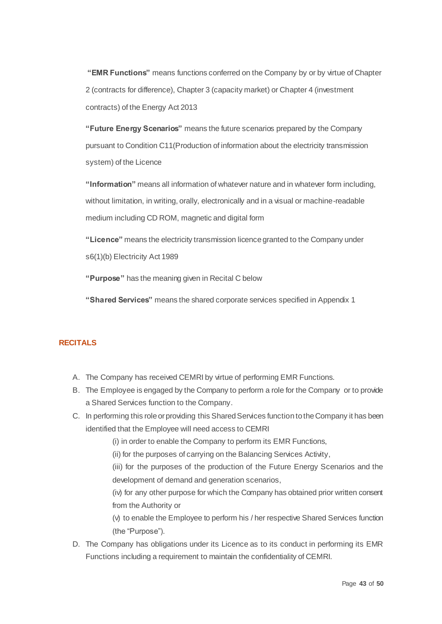**"EMR Functions"** means functions conferred on the Company by or by virtue of Chapter 2 (contracts for difference), Chapter 3 (capacity market) or Chapter 4 (investment contracts) of the Energy Act 2013

**"Future Energy Scenarios"** means the future scenarios prepared by the Company pursuant to Condition C11(Production of information about the electricity transmission system) of the Licence

**"Information"** means all information of whatever nature and in whatever form including, without limitation, in writing, orally, electronically and in a visual or machine-readable medium including CD ROM, magnetic and digital form

**"Licence"** means the electricity transmission licence granted to the Company under s6(1)(b) Electricity Act 1989

**"Purpose"** has the meaning given in Recital C below

**"Shared Services"** means the shared corporate services specified in Appendix 1

## **RECITALS**

- A. The Company has received CEMRI by virtue of performing EMR Functions.
- B. The Employee is engaged by the Company to perform a role for the Company or to provide a Shared Services function to the Company.
- C. In performing this role or providing this Shared Services function to the Company it has been identified that the Employee will need access to CEMRI

(i) in order to enable the Company to perform its EMR Functions,

(ii) for the purposes of carrying on the Balancing Services Activity,

(iii) for the purposes of the production of the Future Energy Scenarios and the development of demand and generation scenarios,

(iv) for any other purpose for which the Company has obtained prior written consent from the Authority or

(v) to enable the Employee to perform his / her respective Shared Services function (the "Purpose").

D. The Company has obligations under its Licence as to its conduct in performing its EMR Functions including a requirement to maintain the confidentiality of CEMRI.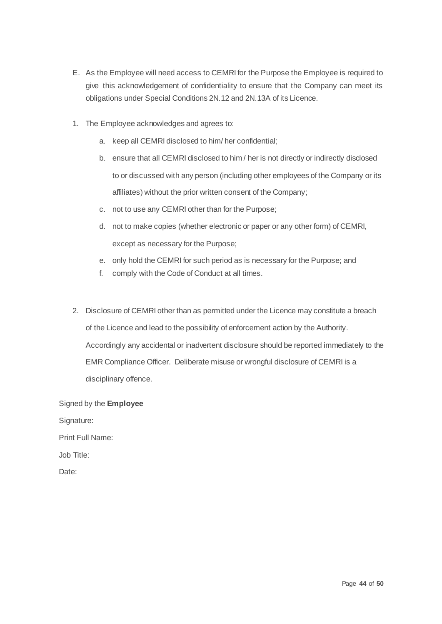- E. As the Employee will need access to CEMRI for the Purpose the Employee is required to give this acknowledgement of confidentiality to ensure that the Company can meet its obligations under Special Conditions 2N.12 and 2N.13A of its Licence.
- 1. The Employee acknowledges and agrees to:
	- a. keep all CEMRI disclosed to him/ her confidential;
	- b. ensure that all CEMRI disclosed to him / her is not directly or indirectly disclosed to or discussed with any person (including other employees of the Company or its affiliates) without the prior written consent of the Company;
	- c. not to use any CEMRI other than for the Purpose;
	- d. not to make copies (whether electronic or paper or any other form) of CEMRI, except as necessary for the Purpose;
	- e. only hold the CEMRI for such period as is necessary for the Purpose; and
	- f. comply with the Code of Conduct at all times.
- 2. Disclosure of CEMRI other than as permitted under the Licence may constitute a breach of the Licence and lead to the possibility of enforcement action by the Authority. Accordingly any accidental or inadvertent disclosure should be reported immediately to the EMR Compliance Officer. Deliberate misuse or wrongful disclosure of CEMRI is a disciplinary offence.

Signed by the **Employee** Signature: Print Full Name: Job Title: Date: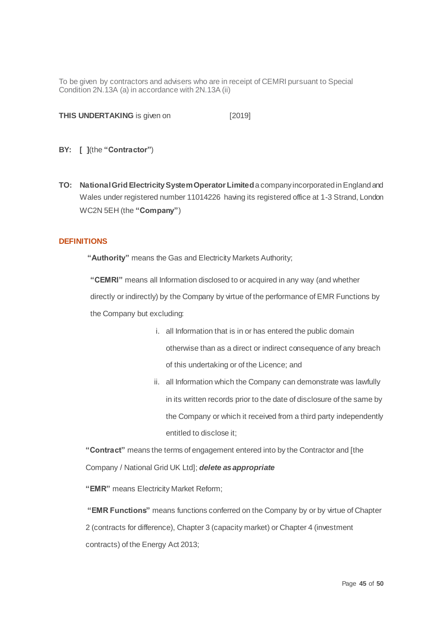To be given by contractors and advisers who are in receipt of CEMRI pursuant to Special Condition 2N.13A (a) in accordance with 2N.13A (ii)

**THIS UNDERTAKING** is given on [2019]

- **BY: [ ]**(the **"Contractor"**)
- **TO: National Grid Electricity System Operator Limited**a company incorporated in England and Wales under registered number 11014226 having its registered office at 1-3 Strand, London WC2N 5EH (the **"Company"**)

#### **DEFINITIONS**

**"Authority"** means the Gas and Electricity Markets Authority;

**"CEMRI"** means all Information disclosed to or acquired in any way (and whether directly or indirectly) by the Company by virtue of the performance of EMR Functions by the Company but excluding:

- i. all Information that is in or has entered the public domain otherwise than as a direct or indirect consequence of any breach of this undertaking or of the Licence; and
- ii. all Information which the Company can demonstrate was lawfully in its written records prior to the date of disclosure of the same by the Company or which it received from a third party independently entitled to disclose it;

**"Contract"** means the terms of engagement entered into by the Contractor and [the Company / National Grid UK Ltd]; *delete as appropriate* 

**"EMR"** means Electricity Market Reform;

**"EMR Functions"** means functions conferred on the Company by or by virtue of Chapter 2 (contracts for difference), Chapter 3 (capacity market) or Chapter 4 (investment contracts) of the Energy Act 2013;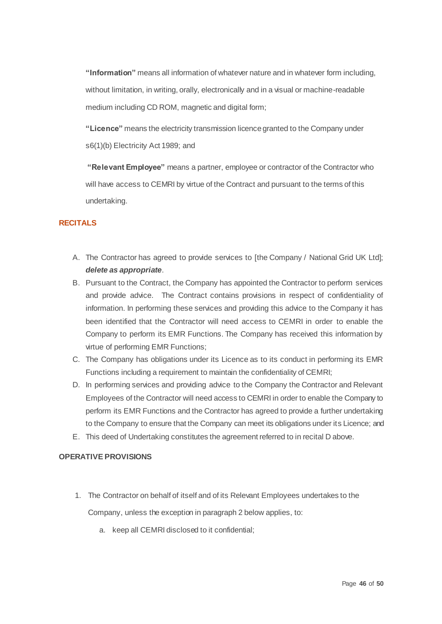**"Information"** means all information of whatever nature and in whatever form including, without limitation, in writing, orally, electronically and in a visual or machine-readable medium including CD ROM, magnetic and digital form;

**"Licence"** means the electricity transmission licence granted to the Company under s6(1)(b) Electricity Act 1989; and

**"Relevant Employee"** means a partner, employee or contractor of the Contractor who will have access to CEMRI by virtue of the Contract and pursuant to the terms of this undertaking.

## **RECITALS**

- A. The Contractor has agreed to provide services to [the Company / National Grid UK Ltd]; *delete as appropriate*.
- B. Pursuant to the Contract, the Company has appointed the Contractor to perform services and provide advice. The Contract contains provisions in respect of confidentiality of information. In performing these services and providing this advice to the Company it has been identified that the Contractor will need access to CEMRI in order to enable the Company to perform its EMR Functions. The Company has received this information by virtue of performing EMR Functions;
- C. The Company has obligations under its Licence as to its conduct in performing its EMR Functions including a requirement to maintain the confidentiality of CEMRI;
- D. In performing services and providing advice to the Company the Contractor and Relevant Employees of the Contractor will need access to CEMRI in order to enable the Company to perform its EMR Functions and the Contractor has agreed to provide a further undertaking to the Company to ensure that the Company can meet its obligations under its Licence; and
- E. This deed of Undertaking constitutes the agreement referred to in recital D above.

#### **OPERATIVE PROVISIONS**

- 1. The Contractor on behalf of itself and of its Relevant Employees undertakes to the Company, unless the exception in paragraph 2 below applies, to:
	- a. keep all CEMRI disclosed to it confidential;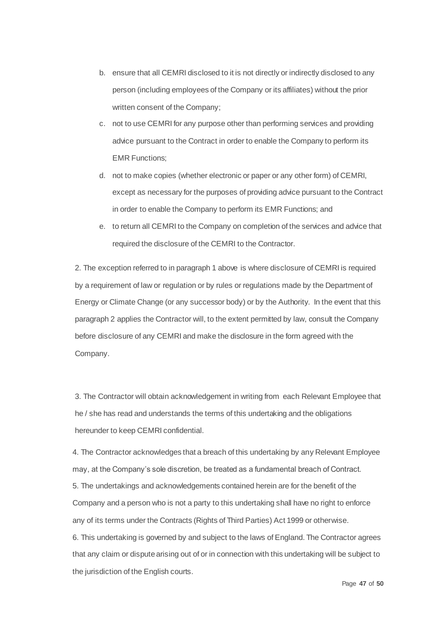- b. ensure that all CEMRI disclosed to it is not directly or indirectly disclosed to any person (including employees of the Company or its affiliates) without the prior written consent of the Company;
- c. not to use CEMRI for any purpose other than performing services and providing advice pursuant to the Contract in order to enable the Company to perform its EMR Functions;
- d. not to make copies (whether electronic or paper or any other form) of CEMRI, except as necessary for the purposes of providing advice pursuant to the Contract in order to enable the Company to perform its EMR Functions; and
- e. to return all CEMRI to the Company on completion of the services and advice that required the disclosure of the CEMRI to the Contractor.

2. The exception referred to in paragraph 1 above is where disclosure of CEMRI is required by a requirement of law or regulation or by rules or regulations made by the Department of Energy or Climate Change (or any successor body) or by the Authority. In the event that this paragraph 2 applies the Contractor will, to the extent permitted by law, consult the Company before disclosure of any CEMRI and make the disclosure in the form agreed with the Company.

3. The Contractor will obtain acknowledgement in writing from each Relevant Employee that he / she has read and understands the terms of this undertaking and the obligations hereunder to keep CEMRI confidential.

4. The Contractor acknowledges that a breach of this undertaking by any Relevant Employee may, at the Company's sole discretion, be treated as a fundamental breach of Contract. 5. The undertakings and acknowledgements contained herein are for the benefit of the Company and a person who is not a party to this undertaking shall have no right to enforce any of its terms under the Contracts (Rights of Third Parties) Act 1999 or otherwise. 6. This undertaking is governed by and subject to the laws of England. The Contractor agrees that any claim or dispute arising out of or in connection with this undertaking will be subject to

the jurisdiction of the English courts.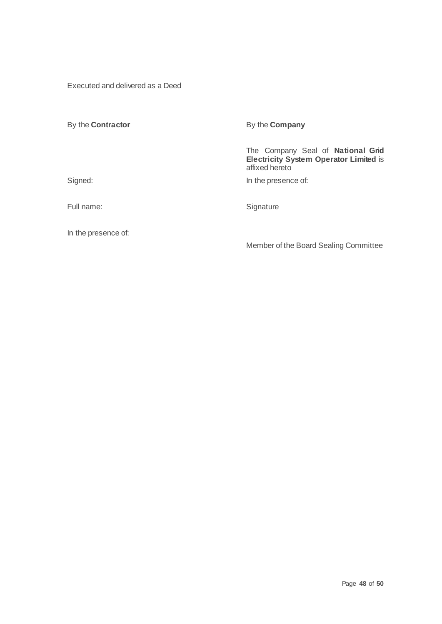Executed and delivered as a Deed

| By the <b>Contractor</b> | By the <b>Company</b>                                                                                |  |  |
|--------------------------|------------------------------------------------------------------------------------------------------|--|--|
|                          | The Company Seal of National Grid<br><b>Electricity System Operator Limited is</b><br>affixed hereto |  |  |
| Signed:                  | In the presence of:                                                                                  |  |  |
| Full name:               | Signature                                                                                            |  |  |

In the presence of:

Member of the Board Sealing Committee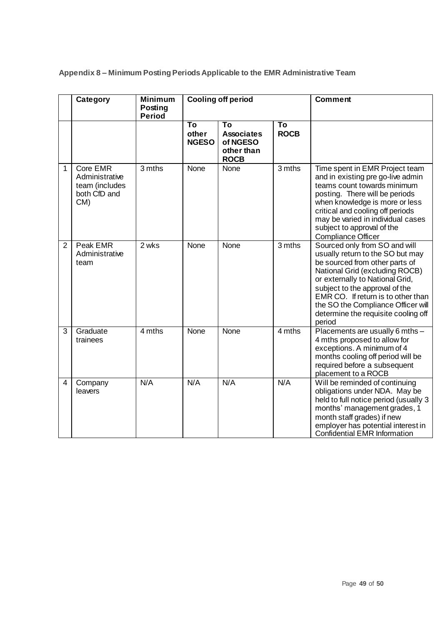**Appendix 8 – Minimum Posting Periods Applicable to the EMR Administrative Team** 

|                | Category                                                               | <b>Minimum</b><br>Posting<br><b>Period</b> | <b>Cooling off period</b>   |                                                                  |                   | <b>Comment</b>                                                                                                                                                                                                                                                                                                                          |
|----------------|------------------------------------------------------------------------|--------------------------------------------|-----------------------------|------------------------------------------------------------------|-------------------|-----------------------------------------------------------------------------------------------------------------------------------------------------------------------------------------------------------------------------------------------------------------------------------------------------------------------------------------|
|                |                                                                        |                                            | To<br>other<br><b>NGESO</b> | To<br><b>Associates</b><br>of NGESO<br>other than<br><b>ROCB</b> | To<br><b>ROCB</b> |                                                                                                                                                                                                                                                                                                                                         |
| 1              | Core EMR<br>Administrative<br>team (includes<br>both CfD and<br>$CM$ ) | 3 mths                                     | None                        | None                                                             | 3 mths            | Time spent in EMR Project team<br>and in existing pre go-live admin<br>teams count towards minimum<br>posting. There will be periods<br>when knowledge is more or less<br>critical and cooling off periods<br>may be varied in individual cases<br>subject to approval of the<br><b>Compliance Officer</b>                              |
| $\overline{2}$ | Peak EMR<br>Administrative<br>team                                     | 2 wks                                      | None                        | None                                                             | 3 mths            | Sourced only from SO and will<br>usually return to the SO but may<br>be sourced from other parts of<br>National Grid (excluding ROCB)<br>or externally to National Grid,<br>subject to the approval of the<br>EMR CO. If return is to other than<br>the SO the Compliance Officer will<br>determine the requisite cooling off<br>period |
| 3              | Graduate<br>trainees                                                   | 4 mths                                     | None                        | <b>None</b>                                                      | 4 mths            | Placements are usually 6 mths -<br>4 mths proposed to allow for<br>exceptions. A minimum of 4<br>months cooling off period will be<br>required before a subsequent<br>placement to a ROCB                                                                                                                                               |
| 4              | Company<br>leavers                                                     | N/A                                        | N/A                         | N/A                                                              | N/A               | Will be reminded of continuing<br>obligations under NDA. May be<br>held to full notice period (usually 3<br>months' management grades, 1<br>month staff grades) if new<br>employer has potential interest in<br><b>Confidential EMR Information</b>                                                                                     |